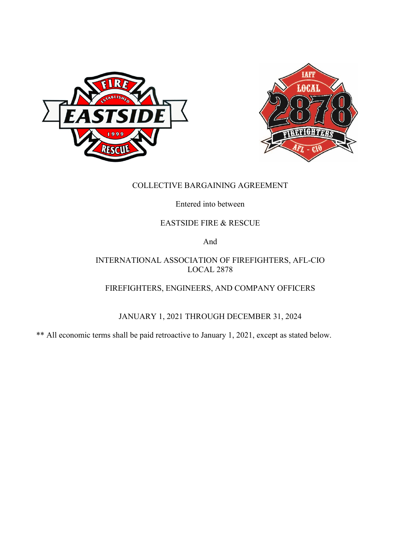



## COLLECTIVE BARGAINING AGREEMENT

Entered into between

## EASTSIDE FIRE & RESCUE

And

## INTERNATIONAL ASSOCIATION OF FIREFIGHTERS, AFL-CIO LOCAL 2878

## FIREFIGHTERS, ENGINEERS, AND COMPANY OFFICERS

## JANUARY 1, 2021 THROUGH DECEMBER 31, 2024

\*\* All economic terms shall be paid retroactive to January 1, 2021, except as stated below.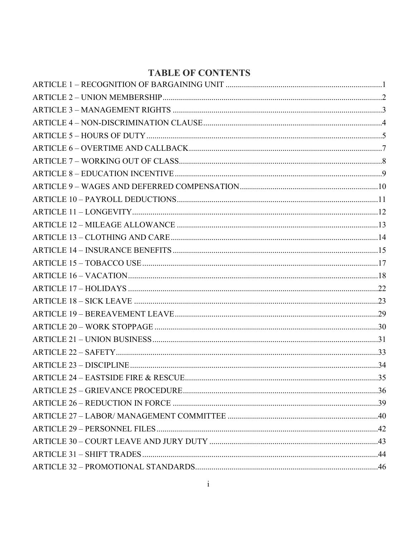# **TABLE OF CONTENTS**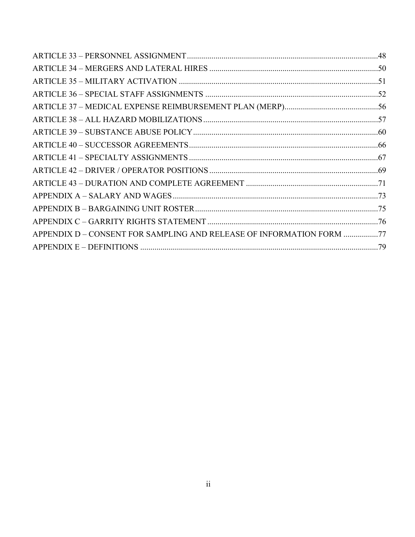| APPENDIX D - CONSENT FOR SAMPLING AND RELEASE OF INFORMATION FORM 77 |  |
|----------------------------------------------------------------------|--|
|                                                                      |  |
|                                                                      |  |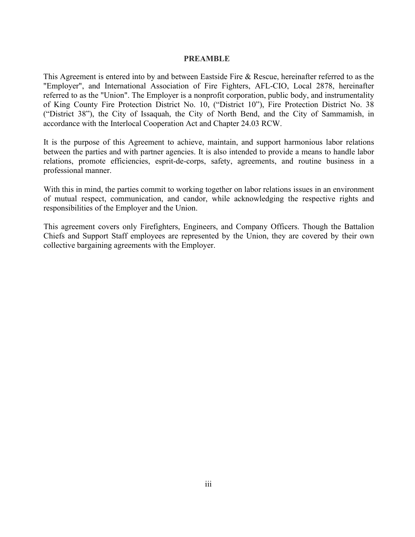#### **PREAMBLE**

This Agreement is entered into by and between Eastside Fire & Rescue, hereinafter referred to as the "Employer", and International Association of Fire Fighters, AFL-CIO, Local 2878, hereinafter referred to as the "Union". The Employer is a nonprofit corporation, public body, and instrumentality of King County Fire Protection District No. 10, ("District 10"), Fire Protection District No. 38 ("District 38"), the City of Issaquah, the City of North Bend, and the City of Sammamish, in accordance with the Interlocal Cooperation Act and Chapter 24.03 RCW.

It is the purpose of this Agreement to achieve, maintain, and support harmonious labor relations between the parties and with partner agencies. It is also intended to provide a means to handle labor relations, promote efficiencies, esprit-de-corps, safety, agreements, and routine business in a professional manner.

With this in mind, the parties commit to working together on labor relations issues in an environment of mutual respect, communication, and candor, while acknowledging the respective rights and responsibilities of the Employer and the Union.

This agreement covers only Firefighters, Engineers, and Company Officers. Though the Battalion Chiefs and Support Staff employees are represented by the Union, they are covered by their own collective bargaining agreements with the Employer.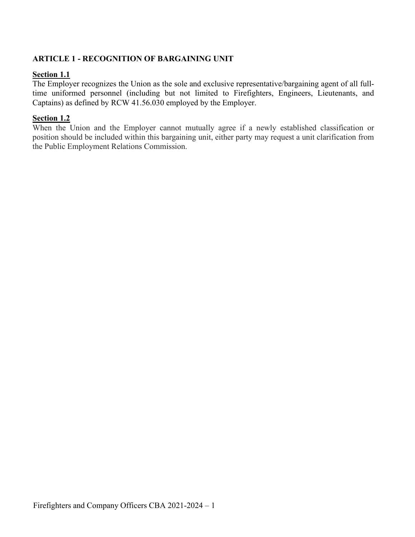### <span id="page-4-0"></span>**ARTICLE 1 - RECOGNITION OF BARGAINING UNIT**

### **Section 1.1**

The Employer recognizes the Union as the sole and exclusive representative/bargaining agent of all fulltime uniformed personnel (including but not limited to Firefighters, Engineers, Lieutenants, and Captains) as defined by RCW 41.56.030 employed by the Employer.

### **Section 1.2**

When the Union and the Employer cannot mutually agree if a newly established classification or position should be included within this bargaining unit, either party may request a unit clarification from the Public Employment Relations Commission.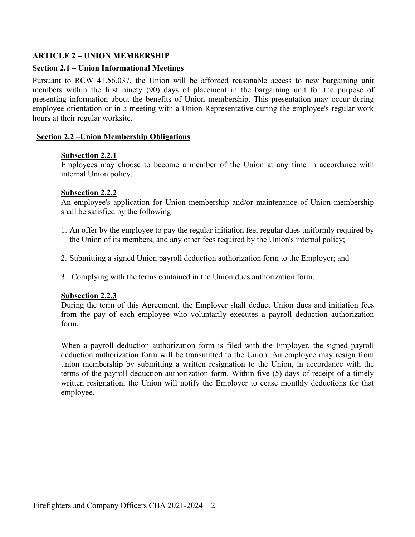### <span id="page-5-0"></span>**ARTICLE 2 – UNION MEMBERSHIP**

### **Section 2.1 – Union Informational Meetings**

Pursuant to RCW 41.56.037, the Union will be afforded reasonable access to new bargaining unit members within the first ninety (90) days of placement in the bargaining unit for the purpose of presenting information about the benefits of Union membership. This presentation may occur during employee orientation or in a meeting with a Union Representative during the employee's regular work hours at their regular worksite.

### **Section 2.2 –Union Membership Obligations**

### **Subsection 2.2.1**

Employees may choose to become a member of the Union at any time in accordance with internal Union policy.

### **Subsection 2.2.2**

An employee's application for Union membership and/or maintenance of Union membership shall be satisfied by the following:

- 1. An offer by the employee to pay the regular initiation fee, regular dues uniformly required by the Union of its members, and any other fees required by the Union's internal policy;
- 2. Submitting a signed Union payroll deduction authorization form to the Employer; and
- 3. Complying with the terms contained in the Union dues authorization form.

### **Subsection 2.2.3**

During the term of this Agreement, the Employer shall deduct Union dues and initiation fees from the pay of each employee who voluntarily executes a payroll deduction authorization form.

When a payroll deduction authorization form is filed with the Employer, the signed payroll deduction authorization form will be transmitted to the Union. An employee may resign from union membership by submitting a written resignation to the Union, in accordance with the terms of the payroll deduction authorization form. Within five (5) days of receipt of a timely written resignation, the Union will notify the Employer to cease monthly deductions for that employee.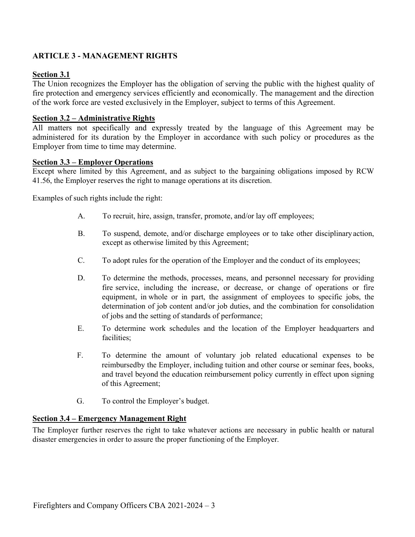## <span id="page-6-0"></span>**ARTICLE 3 - MANAGEMENT RIGHTS**

### **Section 3.1**

The Union recognizes the Employer has the obligation of serving the public with the highest quality of fire protection and emergency services efficiently and economically. The management and the direction of the work force are vested exclusively in the Employer, subject to terms of this Agreement.

### **Section 3.2 – Administrative Rights**

All matters not specifically and expressly treated by the language of this Agreement may be administered for its duration by the Employer in accordance with such policy or procedures as the Employer from time to time may determine.

### **Section 3.3 – Employer Operations**

Except where limited by this Agreement, and as subject to the bargaining obligations imposed by RCW 41.56, the Employer reserves the right to manage operations at its discretion.

Examples of such rights include the right:

- A. To recruit, hire, assign, transfer, promote, and/or lay off employees;
- B. To suspend, demote, and/or discharge employees or to take other disciplinaryaction, except as otherwise limited by this Agreement;
- C. To adopt rules for the operation of the Employer and the conduct of its employees;
- D. To determine the methods, processes, means, and personnel necessary for providing fire service, including the increase, or decrease, or change of operations or fire equipment, in whole or in part, the assignment of employees to specific jobs, the determination of job content and/or job duties, and the combination for consolidation of jobs and the setting of standards of performance;
- E. To determine work schedules and the location of the Employer headquarters and facilities;
- F. To determine the amount of voluntary job related educational expenses to be reimbursedby the Employer, including tuition and other course or seminar fees, books, and travel beyond the education reimbursement policy currently in effect upon signing of this Agreement;
- G. To control the Employer's budget.

### **Section 3.4 – Emergency Management Right**

The Employer further reserves the right to take whatever actions are necessary in public health or natural disaster emergencies in order to assure the proper functioning of the Employer.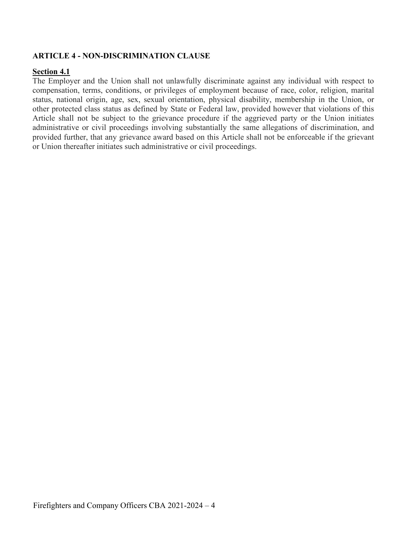## <span id="page-7-0"></span>**ARTICLE 4 - NON-DISCRIMINATION CLAUSE**

### **Section 4.1**

The Employer and the Union shall not unlawfully discriminate against any individual with respect to compensation, terms, conditions, or privileges of employment because of race, color, religion, marital status, national origin, age, sex, sexual orientation, physical disability, membership in the Union, or other protected class status as defined by State or Federal law, provided however that violations of this Article shall not be subject to the grievance procedure if the aggrieved party or the Union initiates administrative or civil proceedings involving substantially the same allegations of discrimination, and provided further, that any grievance award based on this Article shall not be enforceable if the grievant or Union thereafter initiates such administrative or civil proceedings.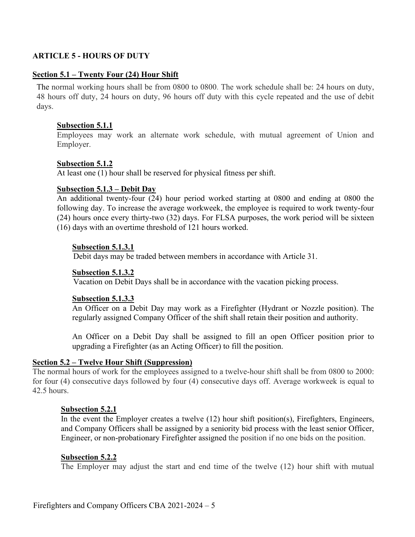### <span id="page-8-0"></span>**ARTICLE 5 - HOURS OF DUTY**

#### **Section 5.1 – Twenty Four (24) Hour Shift**

The normal working hours shall be from 0800 to 0800. The work schedule shall be: 24 hours on duty, 48 hours off duty, 24 hours on duty, 96 hours off duty with this cycle repeated and the use of debit days.

#### **Subsection 5.1.1**

Employees may work an alternate work schedule, with mutual agreement of Union and Employer.

#### **Subsection 5.1.2**

At least one (1) hour shall be reserved for physical fitness per shift.

#### **Subsection 5.1.3 – Debit Day**

An additional twenty-four (24) hour period worked starting at 0800 and ending at 0800 the following day. To increase the average workweek, the employee is required to work twenty-four (24) hours once every thirty-two (32) days. For FLSA purposes, the work period will be sixteen (16) days with an overtime threshold of 121 hours worked.

#### **Subsection 5.1.3.1**

Debit days may be traded between members in accordance with Article 31.

#### **Subsection 5.1.3.2**

Vacation on Debit Days shall be in accordance with the vacation picking process.

#### **Subsection 5.1.3.3**

An Officer on a Debit Day may work as a Firefighter (Hydrant or Nozzle position). The regularly assigned Company Officer of the shift shall retain their position and authority.

An Officer on a Debit Day shall be assigned to fill an open Officer position prior to upgrading a Firefighter (as an Acting Officer) to fill the position.

#### **Section 5.2 – Twelve Hour Shift (Suppression)**

The normal hours of work for the employees assigned to a twelve-hour shift shall be from 0800 to 2000: for four (4) consecutive days followed by four (4) consecutive days off. Average workweek is equal to 42.5 hours.

#### **Subsection 5.2.1**

In the event the Employer creates a twelve (12) hour shift position(s), Firefighters, Engineers, and Company Officers shall be assigned by a seniority bid process with the least senior Officer, Engineer, or non-probationary Firefighter assigned the position if no one bids on the position.

#### **Subsection 5.2.2**

The Employer may adjust the start and end time of the twelve (12) hour shift with mutual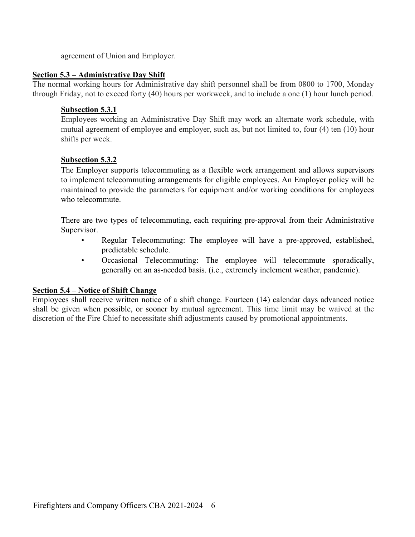agreement of Union and Employer.

### **Section 5.3 – Administrative Day Shift**

The normal working hours for Administrative day shift personnel shall be from 0800 to 1700, Monday through Friday, not to exceed forty (40) hours per workweek, and to include a one (1) hour lunch period.

### **Subsection 5.3.1**

Employees working an Administrative Day Shift may work an alternate work schedule, with mutual agreement of employee and employer, such as, but not limited to, four (4) ten (10) hour shifts per week.

### **Subsection 5.3.2**

The Employer supports telecommuting as a flexible work arrangement and allows supervisors to implement telecommuting arrangements for eligible employees. An Employer policy will be maintained to provide the parameters for equipment and/or working conditions for employees who telecommute.

There are two types of telecommuting, each requiring pre-approval from their Administrative Supervisor.

- Regular Telecommuting: The employee will have a pre-approved, established, predictable schedule.
- Occasional Telecommuting: The employee will telecommute sporadically, generally on an as-needed basis. (i.e., extremely inclement weather, pandemic).

### **Section 5.4 – Notice of Shift Change**

Employees shall receive written notice of a shift change. Fourteen (14) calendar days advanced notice shall be given when possible, or sooner by mutual agreement. This time limit may be waived at the discretion of the Fire Chief to necessitate shift adjustments caused by promotional appointments.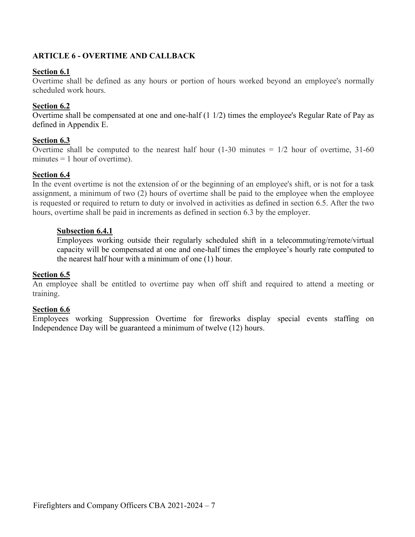## <span id="page-10-0"></span>**ARTICLE 6 - OVERTIME AND CALLBACK**

### **Section 6.1**

Overtime shall be defined as any hours or portion of hours worked beyond an employee's normally scheduled work hours.

### **Section 6.2**

Overtime shall be compensated at one and one-half (1 1/2) times the employee's Regular Rate of Pay as defined in Appendix E.

### **Section 6.3**

Overtime shall be computed to the nearest half hour  $(1-30 \text{ minutes} = 1/2 \text{ hour of overtime}, 31-60$ minutes  $= 1$  hour of overtime).

### **Section 6.4**

In the event overtime is not the extension of or the beginning of an employee's shift, or is not for a task assignment, a minimum of two (2) hours of overtime shall be paid to the employee when the employee is requested or required to return to duty or involved in activities as defined in section 6.5. After the two hours, overtime shall be paid in increments as defined in section 6.3 by the employer.

### **Subsection 6.4.1**

Employees working outside their regularly scheduled shift in a telecommuting/remote/virtual capacity will be compensated at one and one-half times the employee's hourly rate computed to the nearest half hour with a minimum of one (1) hour.

### **Section 6.5**

An employee shall be entitled to overtime pay when off shift and required to attend a meeting or training.

### **Section 6.6**

Employees working Suppression Overtime for fireworks display special events staffing on Independence Day will be guaranteed a minimum of twelve (12) hours.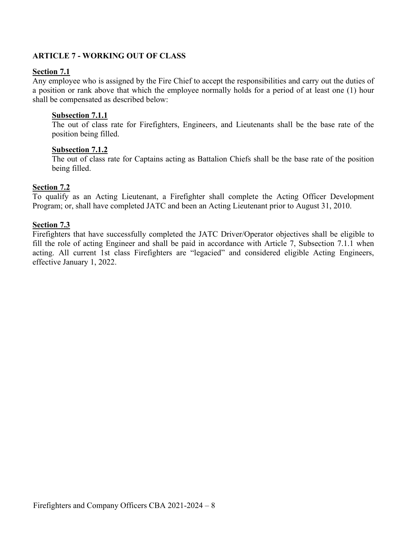## <span id="page-11-0"></span>**ARTICLE 7 - WORKING OUT OF CLASS**

### **Section 7.1**

Any employee who is assigned by the Fire Chief to accept the responsibilities and carry out the duties of a position or rank above that which the employee normally holds for a period of at least one (1) hour shall be compensated as described below:

### **Subsection 7.1.1**

The out of class rate for Firefighters, Engineers, and Lieutenants shall be the base rate of the position being filled.

### **Subsection 7.1.2**

The out of class rate for Captains acting as Battalion Chiefs shall be the base rate of the position being filled.

### **Section 7.2**

To qualify as an Acting Lieutenant, a Firefighter shall complete the Acting Officer Development Program; or, shall have completed JATC and been an Acting Lieutenant prior to August 31, 2010.

### **Section 7.3**

Firefighters that have successfully completed the JATC Driver/Operator objectives shall be eligible to fill the role of acting Engineer and shall be paid in accordance with Article 7, Subsection 7.1.1 when acting. All current 1st class Firefighters are "legacied" and considered eligible Acting Engineers, effective January 1, 2022.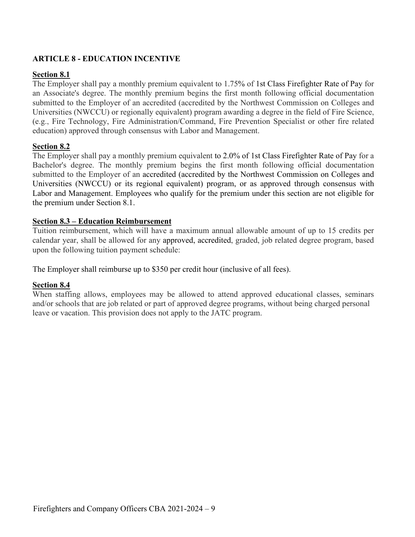## <span id="page-12-0"></span>**ARTICLE 8 - EDUCATION INCENTIVE**

### **Section 8.1**

The Employer shall pay a monthly premium equivalent to 1.75% of 1st Class Firefighter Rate of Pay for an Associate's degree. The monthly premium begins the first month following official documentation submitted to the Employer of an accredited (accredited by the Northwest Commission on Colleges and Universities (NWCCU) or regionally equivalent) program awarding a degree in the field of Fire Science, (e.g., Fire Technology, Fire Administration/Command, Fire Prevention Specialist or other fire related education) approved through consensus with Labor and Management.

### **Section 8.2**

The Employer shall pay a monthly premium equivalent to 2.0% of 1st Class Firefighter Rate of Pay for a Bachelor's degree. The monthly premium begins the first month following official documentation submitted to the Employer of an accredited (accredited by the Northwest Commission on Colleges and Universities (NWCCU) or its regional equivalent) program, or as approved through consensus with Labor and Management. Employees who qualify for the premium under this section are not eligible for the premium under Section 8.1.

### **Section 8.3 – Education Reimbursement**

Tuition reimbursement, which will have a maximum annual allowable amount of up to 15 credits per calendar year, shall be allowed for any approved, accredited, graded, job related degree program, based upon the following tuition payment schedule:

The Employer shall reimburse up to \$350 per credit hour (inclusive of all fees).

### **Section 8.4**

When staffing allows, employees may be allowed to attend approved educational classes, seminars and/or schools that are job related or part of approved degree programs, without being charged personal leave or vacation. This provision does not apply to the JATC program.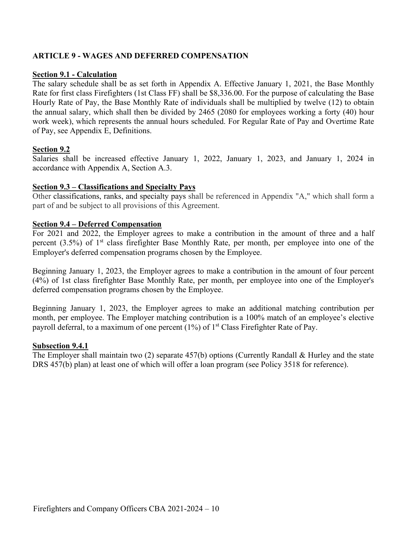### <span id="page-13-0"></span>**ARTICLE 9 - WAGES AND DEFERRED COMPENSATION**

#### **Section 9.1 - Calculation**

The salary schedule shall be as set forth in Appendix A. Effective January 1, 2021, the Base Monthly Rate for first class Firefighters (1st Class FF) shall be \$8,336.00. For the purpose of calculating the Base Hourly Rate of Pay, the Base Monthly Rate of individuals shall be multiplied by twelve (12) to obtain the annual salary, which shall then be divided by 2465 (2080 for employees working a forty (40) hour work week), which represents the annual hours scheduled. For Regular Rate of Pay and Overtime Rate of Pay, see Appendix E, Definitions.

### **Section 9.2**

Salaries shall be increased effective January 1, 2022, January 1, 2023, and January 1, 2024 in accordance with Appendix A, Section A.3.

#### **Section 9.3 – Classifications and Specialty Pays**

Other classifications, ranks, and specialty pays shall be referenced in Appendix "A," which shall form a part of and be subject to all provisions of this Agreement.

#### **Section 9.4 – Deferred Compensation**

For 2021 and 2022, the Employer agrees to make a contribution in the amount of three and a half percent (3.5%) of 1<sup>st</sup> class firefighter Base Monthly Rate, per month, per employee into one of the Employer's deferred compensation programs chosen by the Employee.

Beginning January 1, 2023, the Employer agrees to make a contribution in the amount of four percent (4%) of 1st class firefighter Base Monthly Rate, per month, per employee into one of the Employer's deferred compensation programs chosen by the Employee.

Beginning January 1, 2023, the Employer agrees to make an additional matching contribution per month, per employee. The Employer matching contribution is a 100% match of an employee's elective payroll deferral, to a maximum of one percent  $(1%)$  of  $1<sup>st</sup>$  Class Firefighter Rate of Pay.

#### **Subsection 9.4.1**

The Employer shall maintain two (2) separate 457(b) options (Currently Randall & Hurley and the state DRS 457(b) plan) at least one of which will offer a loan program (see Policy 3518 for reference).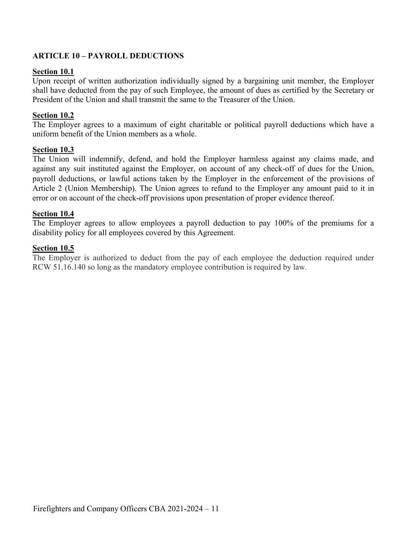## <span id="page-14-0"></span>**ARTICLE 10 – PAYROLL DEDUCTIONS**

### **Section 10.1**

Upon receipt of written authorization individually signed by a bargaining unit member, the Employer shall have deducted from the pay of such Employee, the amount of dues as certified by the Secretary or President of the Union and shall transmit the same to the Treasurer of the Union.

### **Section 10.2**

The Employer agrees to a maximum of eight charitable or political payroll deductions which have a uniform benefit of the Union members as a whole.

### **Section 10.3**

The Union will indemnify, defend, and hold the Employer harmless against any claims made, and against any suit instituted against the Employer, on account of any check-off of dues for the Union, payroll deductions, or lawful actions taken by the Employer in the enforcement of the provisions of Article 2 (Union Membership). The Union agrees to refund to the Employer any amount paid to it in error or on account of the check-off provisions upon presentation of proper evidence thereof.

### **Section 10.4**

The Employer agrees to allow employees a payroll deduction to pay 100% of the premiums for a disability policy for all employees covered by this Agreement.

### **Section 10.5**

The Employer is authorized to deduct from the pay of each employee the deduction required under RCW 51.16.140 so long as the mandatory employee contribution is required by law.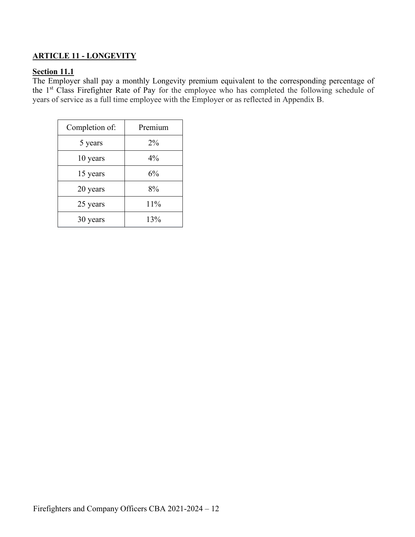## <span id="page-15-0"></span>**ARTICLE 11 - LONGEVITY**

### **Section 11.1**

The Employer shall pay a monthly Longevity premium equivalent to the corresponding percentage of the 1st Class Firefighter Rate of Pay for the employee who has completed the following schedule of years of service as a full time employee with the Employer or as reflected in Appendix B.

| Completion of: | Premium |
|----------------|---------|
| 5 years        | $2\%$   |
| 10 years       | $4\%$   |
| 15 years       | 6%      |
| 20 years       | 8%      |
| 25 years       | 11%     |
| 30 years       | 13%     |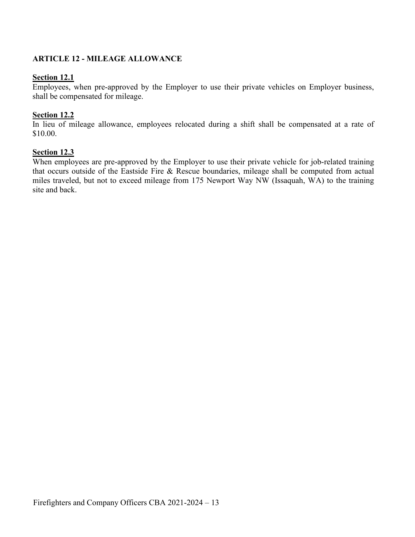### <span id="page-16-0"></span>**ARTICLE 12 - MILEAGE ALLOWANCE**

#### **Section 12.1**

Employees, when pre-approved by the Employer to use their private vehicles on Employer business, shall be compensated for mileage.

#### **Section 12.2**

In lieu of mileage allowance, employees relocated during a shift shall be compensated at a rate of \$10.00.

#### **Section 12.3**

When employees are pre-approved by the Employer to use their private vehicle for job-related training that occurs outside of the Eastside Fire & Rescue boundaries, mileage shall be computed from actual miles traveled, but not to exceed mileage from 175 Newport Way NW (Issaquah, WA) to the training site and back.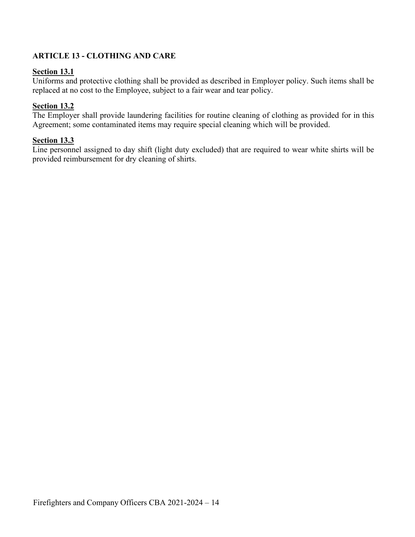## <span id="page-17-0"></span>**ARTICLE 13 - CLOTHING AND CARE**

### **Section 13.1**

Uniforms and protective clothing shall be provided as described in Employer policy. Such items shall be replaced at no cost to the Employee, subject to a fair wear and tear policy.

### **Section 13.2**

The Employer shall provide laundering facilities for routine cleaning of clothing as provided for in this Agreement; some contaminated items may require special cleaning which will be provided.

### **Section 13.3**

Line personnel assigned to day shift (light duty excluded) that are required to wear white shirts will be provided reimbursement for dry cleaning of shirts.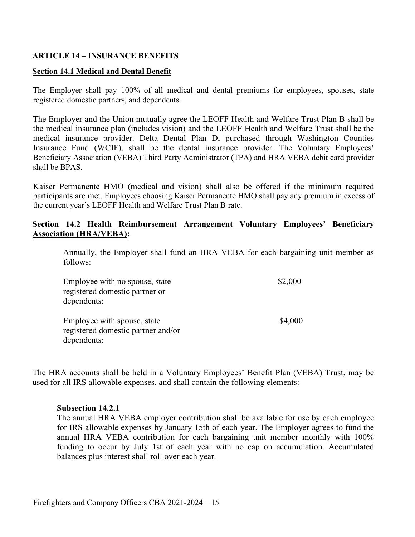### <span id="page-18-0"></span>**ARTICLE 14 – INSURANCE BENEFITS**

#### **Section 14.1 Medical and Dental Benefit**

The Employer shall pay 100% of all medical and dental premiums for employees, spouses, state registered domestic partners, and dependents.

The Employer and the Union mutually agree the LEOFF Health and Welfare Trust Plan B shall be the medical insurance plan (includes vision) and the LEOFF Health and Welfare Trust shall be the medical insurance provider. Delta Dental Plan D, purchased through Washington Counties Insurance Fund (WCIF), shall be the dental insurance provider. The Voluntary Employees' Beneficiary Association (VEBA) Third Party Administrator (TPA) and HRA VEBA debit card provider shall be BPAS.

Kaiser Permanente HMO (medical and vision) shall also be offered if the minimum required participants are met. Employees choosing Kaiser Permanente HMO shall pay any premium in excess of the current year's LEOFF Health and Welfare Trust Plan B rate.

### **Section 14.2 Health Reimbursement Arrangement Voluntary Employees' Beneficiary Association (HRA/VEBA):**

Annually, the Employer shall fund an HRA VEBA for each bargaining unit member as follows:

| Employee with no spouse, state     | \$2,000 |
|------------------------------------|---------|
| registered domestic partner or     |         |
| dependents:                        |         |
|                                    |         |
| Employee with spouse, state        | \$4,000 |
| registered domestic partner and/or |         |
| dependents:                        |         |

The HRA accounts shall be held in a Voluntary Employees' Benefit Plan (VEBA) Trust, may be used for all IRS allowable expenses, and shall contain the following elements:

#### **Subsection 14.2.1**

The annual HRA VEBA employer contribution shall be available for use by each employee for IRS allowable expenses by January 15th of each year. The Employer agrees to fund the annual HRA VEBA contribution for each bargaining unit member monthly with 100% funding to occur by July 1st of each year with no cap on accumulation. Accumulated balances plus interest shall roll over each year.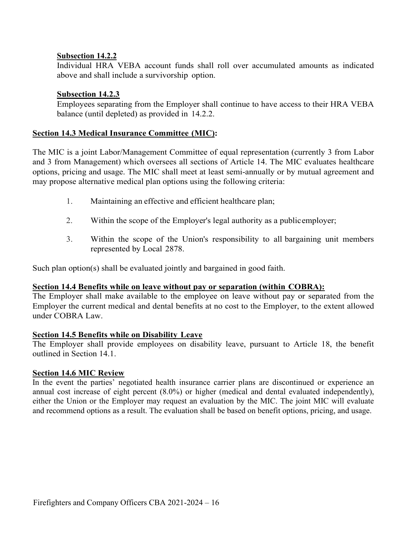### **Subsection 14.2.2**

Individual HRA VEBA account funds shall roll over accumulated amounts as indicated above and shall include a survivorship option.

### **Subsection 14.2.3**

Employees separating from the Employer shall continue to have access to their HRA VEBA balance (until depleted) as provided in 14.2.2.

### **Section 14.3 Medical Insurance Committee (MIC):**

The MIC is a joint Labor/Management Committee of equal representation (currently 3 from Labor and 3 from Management) which oversees all sections of Article 14. The MIC evaluates healthcare options, pricing and usage. The MIC shall meet at least semi-annually or by mutual agreement and may propose alternative medical plan options using the following criteria:

- 1. Maintaining an effective and efficient healthcare plan;
- 2. Within the scope of the Employer's legal authority as a publicemployer;
- 3. Within the scope of the Union's responsibility to all bargaining unit members represented by Local 2878.

Such plan option(s) shall be evaluated jointly and bargained in good faith.

### **Section 14.4 Benefits while on leave without pay or separation (within COBRA):**

The Employer shall make available to the employee on leave without pay or separated from the Employer the current medical and dental benefits at no cost to the Employer, to the extent allowed under COBRA Law.

### **Section 14.5 Benefits while on Disability Leave**

The Employer shall provide employees on disability leave, pursuant to Article 18, the benefit outlined in Section 14.1.

### **Section 14.6 MIC Review**

In the event the parties' negotiated health insurance carrier plans are discontinued or experience an annual cost increase of eight percent (8.0%) or higher (medical and dental evaluated independently), either the Union or the Employer may request an evaluation by the MIC. The joint MIC will evaluate and recommend options as a result. The evaluation shall be based on benefit options, pricing, and usage.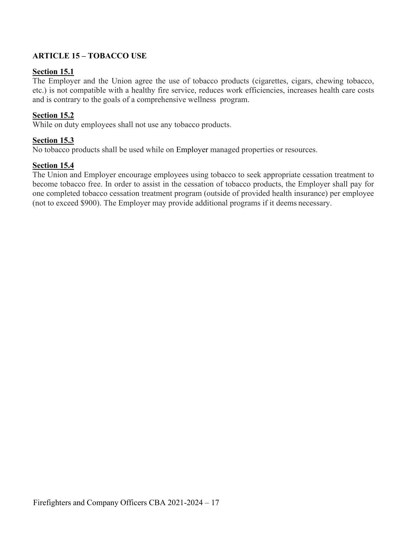## <span id="page-20-0"></span>**ARTICLE 15 – TOBACCO USE**

### **Section 15.1**

The Employer and the Union agree the use of tobacco products (cigarettes, cigars, chewing tobacco, etc.) is not compatible with a healthy fire service, reduces work efficiencies, increases health care costs and is contrary to the goals of a comprehensive wellness program.

### **Section 15.2**

While on duty employees shall not use any tobacco products.

### **Section 15.3**

No tobacco products shall be used while on Employer managed properties or resources.

### **Section 15.4**

The Union and Employer encourage employees using tobacco to seek appropriate cessation treatment to become tobacco free. In order to assist in the cessation of tobacco products, the Employer shall pay for one completed tobacco cessation treatment program (outside of provided health insurance) per employee (not to exceed \$900). The Employer may provide additional programs if it deems necessary.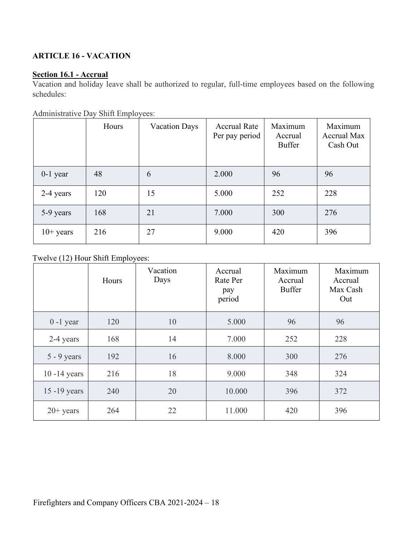## <span id="page-21-0"></span>**ARTICLE 16 - VACATION**

## **Section 16.1 - Accrual**

Vacation and holiday leave shall be authorized to regular, full-time employees based on the following schedules:

|  | Administrative Day Shift Employees: |
|--|-------------------------------------|
|  |                                     |

|             | Hours | <b>Vacation Days</b> | <b>Accrual Rate</b><br>Per pay period | Maximum<br>Accrual<br><b>Buffer</b> | Maximum<br><b>Accrual Max</b><br>Cash Out |
|-------------|-------|----------------------|---------------------------------------|-------------------------------------|-------------------------------------------|
| $0-1$ year  | 48    | 6                    | 2.000                                 | 96                                  | 96                                        |
| 2-4 years   | 120   | 15                   | 5.000                                 | 252                                 | 228                                       |
| 5-9 years   | 168   | 21                   | 7.000                                 | 300                                 | 276                                       |
| $10+$ years | 216   | 27                   | 9.000                                 | 420                                 | 396                                       |

## Twelve (12) Hour Shift Employees:

|                 | Hours | Vacation<br>Days | Accrual<br>Rate Per<br>pay<br>period | Maximum<br>Accrual<br><b>Buffer</b> | Maximum<br>Accrual<br>Max Cash<br>Out |
|-----------------|-------|------------------|--------------------------------------|-------------------------------------|---------------------------------------|
| $0 - 1$ year    | 120   | 10               | 5.000                                | 96                                  | 96                                    |
| 2-4 years       | 168   | 14               | 7.000                                | 252                                 | 228                                   |
| $5 - 9$ years   | 192   | 16               | 8.000                                | 300                                 | 276                                   |
| $10 - 14$ years | 216   | 18               | 9.000                                | 348                                 | 324                                   |
| $15 - 19$ years | 240   | 20               | 10.000                               | 396                                 | 372                                   |
| $20+$ years     | 264   | 22               | 11.000                               | 420                                 | 396                                   |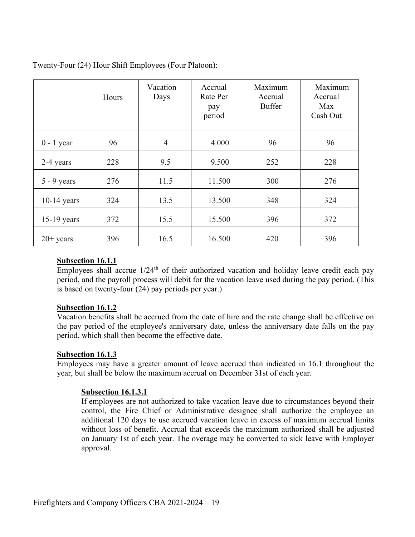|               | Hours | Vacation<br>Days | Accrual<br>Rate Per<br>pay<br>period | Maximum<br>Accrual<br><b>Buffer</b> | Maximum<br>Accrual<br>Max<br>Cash Out |
|---------------|-------|------------------|--------------------------------------|-------------------------------------|---------------------------------------|
| $0 - 1$ year  | 96    | $\overline{4}$   | 4.000                                | 96                                  | 96                                    |
| 2-4 years     | 228   | 9.5              | 9.500                                | 252                                 | 228                                   |
| $5 - 9$ years | 276   | 11.5             | 11.500                               | 300                                 | 276                                   |
| $10-14$ years | 324   | 13.5             | 13.500                               | 348                                 | 324                                   |
| 15-19 years   | 372   | 15.5             | 15.500                               | 396                                 | 372                                   |
| $20+$ years   | 396   | 16.5             | 16.500                               | 420                                 | 396                                   |

Twenty-Four (24) Hour Shift Employees (Four Platoon):

### **Subsection 16.1.1**

 $\overline{\text{Employees}}$  shall accrue  $1/24$ <sup>th</sup> of their authorized vacation and holiday leave credit each pay period, and the payroll process will debit for the vacation leave used during the pay period. (This is based on twenty-four (24) pay periods per year.)

### **Subsection 16.1.2**

Vacation benefits shall be accrued from the date of hire and the rate change shall be effective on the pay period of the employee's anniversary date, unless the anniversary date falls on the pay period, which shall then become the effective date.

### **Subsection 16.1.3**

Employees may have a greater amount of leave accrued than indicated in 16.1 throughout the year, but shall be below the maximum accrual on December 31st of each year.

### **Subsection 16.1.3.1**

If employees are not authorized to take vacation leave due to circumstances beyond their control, the Fire Chief or Administrative designee shall authorize the employee an additional 120 days to use accrued vacation leave in excess of maximum accrual limits without loss of benefit. Accrual that exceeds the maximum authorized shall be adjusted on January 1st of each year. The overage may be converted to sick leave with Employer approval.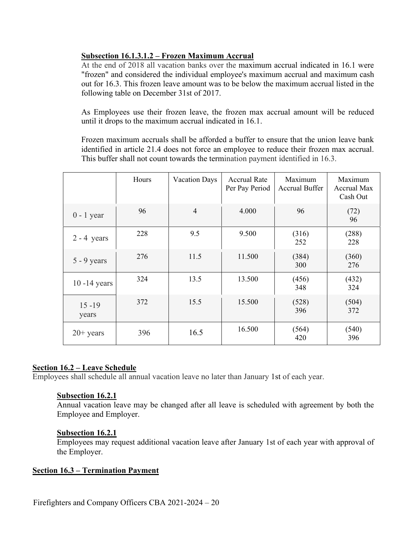## **Subsection 16.1.3.1.2 – Frozen Maximum Accrual**

At the end of 2018 all vacation banks over the maximum accrual indicated in 16.1 were "frozen" and considered the individual employee's maximum accrual and maximum cash out for 16.3. This frozen leave amount was to be below the maximum accrual listed in the following table on December 31st of 2017.

As Employees use their frozen leave, the frozen max accrual amount will be reduced until it drops to the maximum accrual indicated in 16.1.

Frozen maximum accruals shall be afforded a buffer to ensure that the union leave bank identified in article 21.4 does not force an employee to reduce their frozen max accrual. This buffer shall not count towards the termination payment identified in 16.3.

|                    | Hours | <b>Vacation Days</b> | <b>Accrual Rate</b><br>Per Pay Period | Maximum<br><b>Accrual Buffer</b> | Maximum<br>Accrual Max<br>Cash Out |
|--------------------|-------|----------------------|---------------------------------------|----------------------------------|------------------------------------|
| $0 - 1$ year       | 96    | $\overline{4}$       | 4.000                                 | 96                               | (72)<br>96                         |
| $2 - 4$ years      | 228   | 9.5                  | 9.500                                 | (316)<br>252                     | (288)<br>228                       |
| $5 - 9$ years      | 276   | 11.5                 | 11.500                                | (384)<br>300                     | (360)<br>276                       |
| $10 - 14$ years    | 324   | 13.5                 | 13.500                                | (456)<br>348                     | (432)<br>324                       |
| $15 - 19$<br>years | 372   | 15.5                 | 15.500                                | (528)<br>396                     | (504)<br>372                       |
| $20+$ years        | 396   | 16.5                 | 16.500                                | (564)<br>420                     | (540)<br>396                       |

### **Section 16.2 – Leave Schedule**

Employees shall schedule all annual vacation leave no later than January 1st of each year.

### **Subsection 16.2.1**

Annual vacation leave may be changed after all leave is scheduled with agreement by both the Employee and Employer.

### **Subsection 16.2.1**

Employees may request additional vacation leave after January 1st of each year with approval of the Employer.

### **Section 16.3 – Termination Payment**

Firefighters and Company Officers CBA 2021-2024 – 20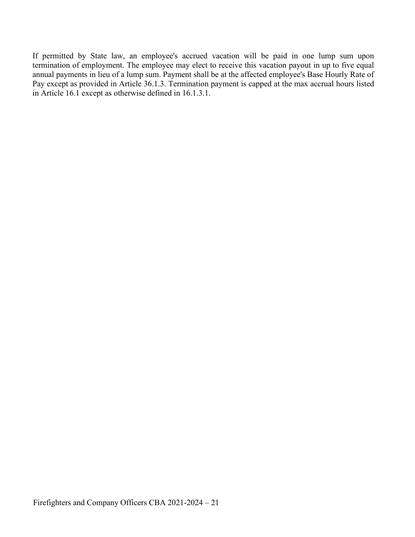If permitted by State law, an employee's accrued vacation will be paid in one lump sum upon termination of employment. The employee may elect to receive this vacation payout in up to five equal annual payments in lieu of a lump sum. Payment shall be at the affected employee's Base Hourly Rate of Pay except as provided in Article 36.1.3. Termination payment is capped at the max accrual hours listed in Article 16.1 except as otherwise defined in 16.1.3.1.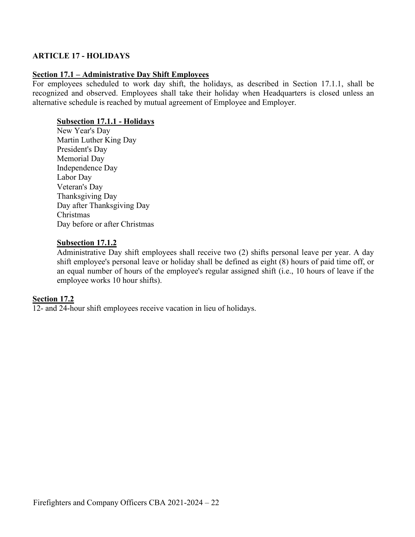### <span id="page-25-0"></span>**ARTICLE 17 - HOLIDAYS**

### **Section 17.1 – Administrative Day Shift Employees**

For employees scheduled to work day shift, the holidays, as described in Section 17.1.1, shall be recognized and observed. Employees shall take their holiday when Headquarters is closed unless an alternative schedule is reached by mutual agreement of Employee and Employer.

### **Subsection 17.1.1 - Holidays**

New Year's Day Martin Luther King Day President's Day Memorial Day Independence Day Labor Day Veteran's Day Thanksgiving Day Day after Thanksgiving Day Christmas Day before or after Christmas

### **Subsection 17.1.2**

Administrative Day shift employees shall receive two (2) shifts personal leave per year. A day shift employee's personal leave or holiday shall be defined as eight (8) hours of paid time off, or an equal number of hours of the employee's regular assigned shift (i.e., 10 hours of leave if the employee works 10 hour shifts).

### **Section 17.2**

12- and 24-hour shift employees receive vacation in lieu of holidays.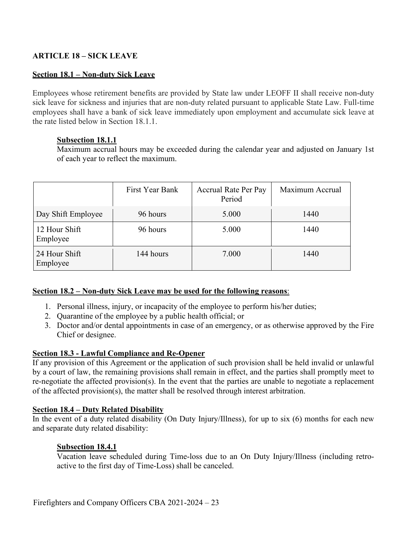## <span id="page-26-0"></span>**ARTICLE 18 – SICK LEAVE**

### **Section 18.1 – Non-duty Sick Leave**

Employees whose retirement benefits are provided by State law under LEOFF II shall receive non-duty sick leave for sickness and injuries that are non-duty related pursuant to applicable State Law. Full-time employees shall have a bank of sick leave immediately upon employment and accumulate sick leave at the rate listed below in Section 18.1.1.

### **Subsection 18.1.1**

Maximum accrual hours may be exceeded during the calendar year and adjusted on January 1st of each year to reflect the maximum.

|                           | First Year Bank | <b>Accrual Rate Per Pay</b><br>Period | Maximum Accrual |
|---------------------------|-----------------|---------------------------------------|-----------------|
| Day Shift Employee        | 96 hours        | 5.000                                 | 1440            |
| 12 Hour Shift<br>Employee | 96 hours        | 5.000                                 | 1440            |
| 24 Hour Shift<br>Employee | 144 hours       | 7.000                                 | 1440            |

### **Section 18.2 – Non-duty Sick Leave may be used for the following reasons**:

- 1. Personal illness, injury, or incapacity of the employee to perform his/her duties;
- 2. Quarantine of the employee by a public health official; or
- 3. Doctor and/or dental appointments in case of an emergency, or as otherwise approved by the Fire Chief or designee.

### **Section 18.3 - Lawful Compliance and Re-Opener**

If any provision of this Agreement or the application of such provision shall be held invalid or unlawful by a court of law, the remaining provisions shall remain in effect, and the parties shall promptly meet to re-negotiate the affected provision(s). In the event that the parties are unable to negotiate a replacement of the affected provision(s), the matter shall be resolved through interest arbitration.

### **Section 18.4 – Duty Related Disability**

In the event of a duty related disability (On Duty Injury/Illness), for up to six (6) months for each new and separate duty related disability:

### **Subsection 18.4.1**

Vacation leave scheduled during Time-loss due to an On Duty Injury/Illness (including retroactive to the first day of Time-Loss) shall be canceled.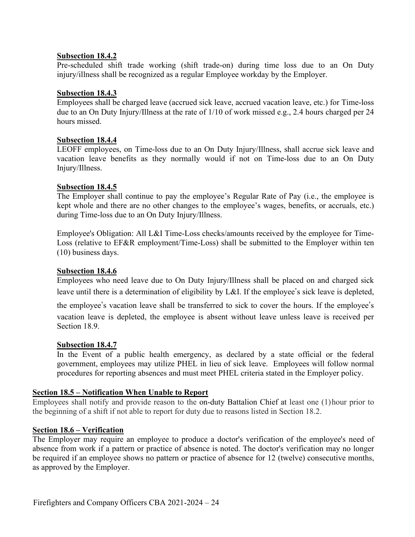### **Subsection 18.4.2**

Pre-scheduled shift trade working (shift trade-on) during time loss due to an On Duty injury/illness shall be recognized as a regular Employee workday by the Employer.

### **Subsection 18.4.3**

Employees shall be charged leave (accrued sick leave, accrued vacation leave, etc.) for Time-loss due to an On Duty Injury/Illness at the rate of 1/10 of work missed e.g., 2.4 hours charged per 24 hours missed.

### **Subsection 18.4.4**

LEOFF employees, on Time-loss due to an On Duty Injury/Illness, shall accrue sick leave and vacation leave benefits as they normally would if not on Time-loss due to an On Duty Injury/Illness.

### **Subsection 18.4.5**

The Employer shall continue to pay the employee's Regular Rate of Pay (i.e., the employee is kept whole and there are no other changes to the employee's wages, benefits, or accruals, etc.) during Time-loss due to an On Duty Injury/Illness.

Employee's Obligation: All L&I Time-Loss checks/amounts received by the employee for Time-Loss (relative to EF&R employment/Time-Loss) shall be submitted to the Employer within ten (10) business days.

### **Subsection 18.4.6**

Employees who need leave due to On Duty Injury/Illness shall be placed on and charged sick leave until there is a determination of eligibility by L&I. If the employee's sick leave is depleted,

the employee's vacation leave shall be transferred to sick to cover the hours. If the employee's vacation leave is depleted, the employee is absent without leave unless leave is received per Section 18.9.

### **Subsection 18.4.7**

In the Event of a public health emergency, as declared by a state official or the federal government, employees may utilize PHEL in lieu of sick leave. Employees will follow normal procedures for reporting absences and must meet PHEL criteria stated in the Employer policy.

### **Section 18.5 – Notification When Unable to Report**

Employees shall notify and provide reason to the on-duty Battalion Chief at least one (1)hour prior to the beginning of a shift if not able to report for duty due to reasons listed in Section 18.2.

### **Section 18.6 – Verification**

The Employer may require an employee to produce a doctor's verification of the employee's need of absence from work if a pattern or practice of absence is noted. The doctor's verification may no longer be required if an employee shows no pattern or practice of absence for 12 (twelve) consecutive months, as approved by the Employer.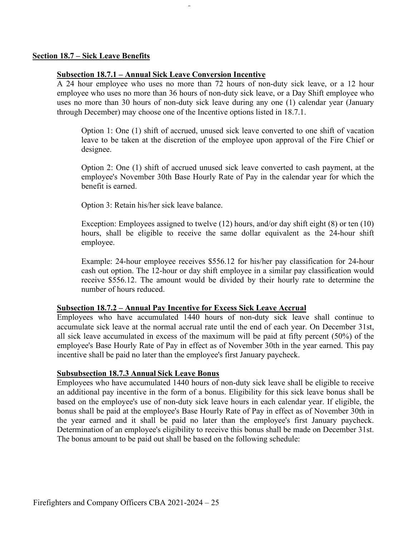### **Section 18.7 – Sick Leave Benefits**

#### **Subsection 18.7.1 – Annual Sick Leave Conversion Incentive**

A 24 hour employee who uses no more than 72 hours of non-duty sick leave, or a 12 hour employee who uses no more than 36 hours of non-duty sick leave, or a Day Shift employee who uses no more than 30 hours of non-duty sick leave during any one (1) calendar year (January through December) may choose one of the Incentive options listed in 18.7.1.

Option 1: One (1) shift of accrued, unused sick leave converted to one shift of vacation leave to be taken at the discretion of the employee upon approval of the Fire Chief or designee.

Option 2: One (1) shift of accrued unused sick leave converted to cash payment, at the employee's November 30th Base Hourly Rate of Pay in the calendar year for which the benefit is earned.

Option 3: Retain his/her sick leave balance.

Exception: Employees assigned to twelve (12) hours, and/or day shift eight (8) or ten (10) hours, shall be eligible to receive the same dollar equivalent as the 24-hour shift employee.

Example: 24-hour employee receives \$556.12 for his/her pay classification for 24-hour cash out option. The 12-hour or day shift employee in a similar pay classification would receive \$556.12. The amount would be divided by their hourly rate to determine the number of hours reduced.

#### **Subsection 18.7.2 – Annual Pay Incentive for Excess Sick Leave Accrual**

Employees who have accumulated 1440 hours of non-duty sick leave shall continue to accumulate sick leave at the normal accrual rate until the end of each year. On December 31st, all sick leave accumulated in excess of the maximum will be paid at fifty percent (50%) of the employee's Base Hourly Rate of Pay in effect as of November 30th in the year earned. This pay incentive shall be paid no later than the employee's first January paycheck.

#### **Subsubsection 18.7.3 Annual Sick Leave Bonus**

Employees who have accumulated 1440 hours of non-duty sick leave shall be eligible to receive an additional pay incentive in the form of a bonus. Eligibility for this sick leave bonus shall be based on the employee's use of non-duty sick leave hours in each calendar year. If eligible, the bonus shall be paid at the employee's Base Hourly Rate of Pay in effect as of November 30th in the year earned and it shall be paid no later than the employee's first January paycheck. Determination of an employee's eligibility to receive this bonus shall be made on December 31st. The bonus amount to be paid out shall be based on the following schedule: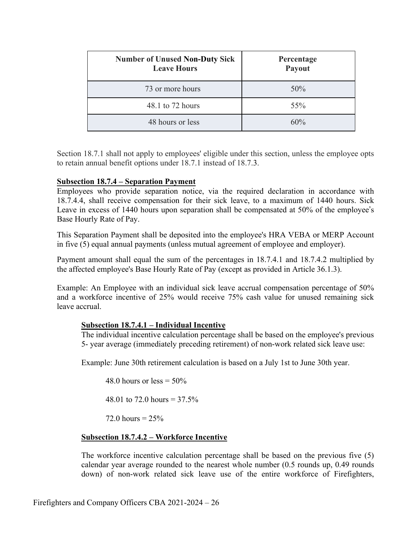| <b>Number of Unused Non-Duty Sick</b><br><b>Leave Hours</b> | Percentage<br>Payout |
|-------------------------------------------------------------|----------------------|
| 73 or more hours                                            | 50%                  |
| 48.1 to 72 hours                                            | 55%                  |
| 48 hours or less                                            | 60%                  |

Section 18.7.1 shall not apply to employees' eligible under this section, unless the employee opts to retain annual benefit options under 18.7.1 instead of 18.7.3.

### **Subsection 18.7.4 – Separation Payment**

Employees who provide separation notice, via the required declaration in accordance with 18.7.4.4, shall receive compensation for their sick leave, to a maximum of 1440 hours. Sick Leave in excess of 1440 hours upon separation shall be compensated at 50% of the employee's Base Hourly Rate of Pay.

This Separation Payment shall be deposited into the employee's HRA VEBA or MERP Account in five (5) equal annual payments (unless mutual agreement of employee and employer).

Payment amount shall equal the sum of the percentages in 18.7.4.1 and 18.7.4.2 multiplied by the affected employee's Base Hourly Rate of Pay (except as provided in Article 36.1.3).

Example: An Employee with an individual sick leave accrual compensation percentage of 50% and a workforce incentive of 25% would receive 75% cash value for unused remaining sick leave accrual.

### **Subsection 18.7.4.1 – Individual Incentive**

The individual incentive calculation percentage shall be based on the employee's previous 5- year average (immediately preceding retirement) of non-work related sick leave use:

Example: June 30th retirement calculation is based on a July 1st to June 30th year.

48.0 hours or less  $= 50\%$ 

48.01 to 72.0 hours =  $37.5\%$ 

72.0 hours =  $25%$ 

### **Subsection 18.7.4.2 – Workforce Incentive**

The workforce incentive calculation percentage shall be based on the previous five (5) calendar year average rounded to the nearest whole number (0.5 rounds up, 0.49 rounds down) of non-work related sick leave use of the entire workforce of Firefighters,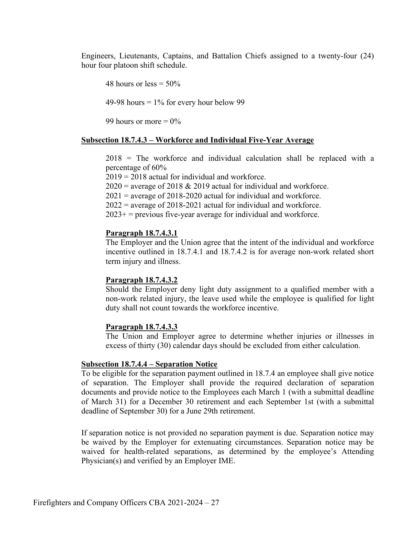Engineers, Lieutenants, Captains, and Battalion Chiefs assigned to a twenty-four (24) hour four platoon shift schedule.

48 hours or less  $= 50\%$ 49-98 hours  $= 1\%$  for every hour below 99 99 hours or more  $= 0\%$ 

#### **Subsection 18.7.4.3 – Workforce and Individual Five-Year Average**

2018 = The workforce and individual calculation shall be replaced with a percentage of 60%

 $2019 = 2018$  actual for individual and workforce.

 $2020$  = average of 2018 & 2019 actual for individual and workforce.

 $2021$  = average of 2018-2020 actual for individual and workforce.

 $2022$  = average of 2018-2021 actual for individual and workforce.

 $2023+$  = previous five-year average for individual and workforce.

#### **Paragraph 18.7.4.3.1**

The Employer and the Union agree that the intent of the individual and workforce incentive outlined in 18.7.4.1 and 18.7.4.2 is for average non-work related short term injury and illness.

#### **Paragraph 18.7.4.3.2**

Should the Employer deny light duty assignment to a qualified member with a non-work related injury, the leave used while the employee is qualified for light duty shall not count towards the workforce incentive.

#### **Paragraph 18.7.4.3.3**

The Union and Employer agree to determine whether injuries or illnesses in excess of thirty (30) calendar days should be excluded from either calculation.

#### **Subsection 18.7.4.4 – Separation Notice**

To be eligible for the separation payment outlined in 18.7.4 an employee shall give notice of separation. The Employer shall provide the required declaration of separation documents and provide notice to the Employees each March 1 (with a submittal deadline of March 31) for a December 30 retirement and each September 1st (with a submittal deadline of September 30) for a June 29th retirement.

If separation notice is not provided no separation payment is due. Separation notice may be waived by the Employer for extenuating circumstances. Separation notice may be waived for health-related separations, as determined by the employee's Attending Physician(s) and verified by an Employer IME.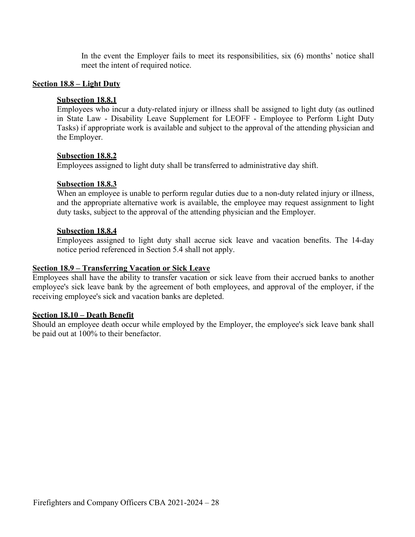In the event the Employer fails to meet its responsibilities, six (6) months' notice shall meet the intent of required notice.

#### **Section 18.8 – Light Duty**

#### **Subsection 18.8.1**

Employees who incur a duty-related injury or illness shall be assigned to light duty (as outlined in State Law - Disability Leave Supplement for LEOFF - Employee to Perform Light Duty Tasks) if appropriate work is available and subject to the approval of the attending physician and the Employer.

#### **Subsection 18.8.2**

Employees assigned to light duty shall be transferred to administrative day shift.

#### **Subsection 18.8.3**

When an employee is unable to perform regular duties due to a non-duty related injury or illness, and the appropriate alternative work is available, the employee may request assignment to light duty tasks, subject to the approval of the attending physician and the Employer.

#### **Subsection 18.8.4**

Employees assigned to light duty shall accrue sick leave and vacation benefits. The 14-day notice period referenced in Section 5.4 shall not apply.

#### **Section 18.9 – Transferring Vacation or Sick Leave**

Employees shall have the ability to transfer vacation or sick leave from their accrued banks to another employee's sick leave bank by the agreement of both employees, and approval of the employer, if the receiving employee's sick and vacation banks are depleted.

### **Section 18.10 – Death Benefit**

Should an employee death occur while employed by the Employer, the employee's sick leave bank shall be paid out at 100% to their benefactor.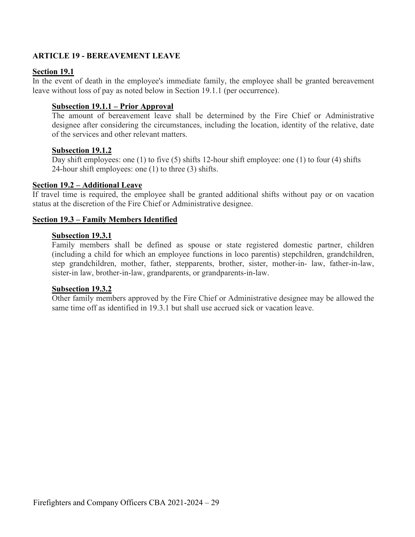### <span id="page-32-0"></span>**ARTICLE 19 - BEREAVEMENT LEAVE**

### **Section 19.1**

In the event of death in the employee's immediate family, the employee shall be granted bereavement leave without loss of pay as noted below in Section 19.1.1 (per occurrence).

### **Subsection 19.1.1 – Prior Approval**

The amount of bereavement leave shall be determined by the Fire Chief or Administrative designee after considering the circumstances, including the location, identity of the relative, date of the services and other relevant matters.

### **Subsection 19.1.2**

Day shift employees: one (1) to five (5) shifts 12-hour shift employee: one (1) to four (4) shifts 24-hour shift employees: one (1) to three (3) shifts.

#### **Section 19.2 – Additional Leave**

If travel time is required, the employee shall be granted additional shifts without pay or on vacation status at the discretion of the Fire Chief or Administrative designee.

### **Section 19.3 – Family Members Identified**

#### **Subsection 19.3.1**

Family members shall be defined as spouse or state registered domestic partner, children (including a child for which an employee functions in loco parentis) stepchildren, grandchildren, step grandchildren, mother, father, stepparents, brother, sister, mother-in- law, father-in-law, sister-in law, brother-in-law, grandparents, or grandparents-in-law.

#### **Subsection 19.3.2**

Other family members approved by the Fire Chief or Administrative designee may be allowed the same time off as identified in 19.3.1 but shall use accrued sick or vacation leave.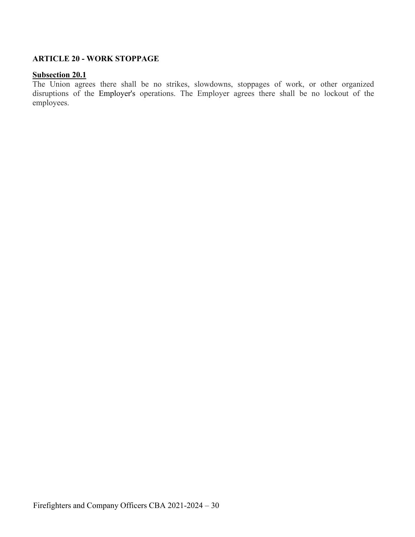### <span id="page-33-0"></span>**ARTICLE 20 - WORK STOPPAGE**

#### **Subsection 20.1**

The Union agrees there shall be no strikes, slowdowns, stoppages of work, or other organized disruptions of the Employer's operations. The Employer agrees there shall be no lockout of the employees.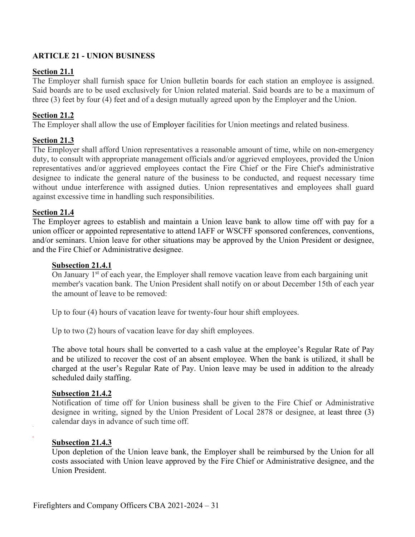## <span id="page-34-0"></span>**ARTICLE 21 - UNION BUSINESS**

### **Section 21.1**

The Employer shall furnish space for Union bulletin boards for each station an employee is assigned. Said boards are to be used exclusively for Union related material. Said boards are to be a maximum of three (3) feet by four (4) feet and of a design mutually agreed upon by the Employer and the Union.

### **Section 21.2**

The Employer shall allow the use of Employer facilities for Union meetings and related business.

### **Section 21.3**

The Employer shall afford Union representatives a reasonable amount of time, while on non-emergency duty, to consult with appropriate management officials and/or aggrieved employees, provided the Union representatives and/or aggrieved employees contact the Fire Chief or the Fire Chief's administrative designee to indicate the general nature of the business to be conducted, and request necessary time without undue interference with assigned duties. Union representatives and employees shall guard against excessive time in handling such responsibilities.

### **Section 21.4**

The Employer agrees to establish and maintain a Union leave bank to allow time off with pay for a union officer or appointed representative to attend IAFF or WSCFF sponsored conferences, conventions, and/or seminars. Union leave for other situations may be approved by the Union President or designee, and the Fire Chief or Administrative designee.

### **Subsection 21.4.1**

On January  $1<sup>st</sup>$  of each year, the Employer shall remove vacation leave from each bargaining unit member's vacation bank. The Union President shall notify on or about December 15th of each year the amount of leave to be removed:

Up to four (4) hours of vacation leave for twenty-four hour shift employees.

Up to two (2) hours of vacation leave for day shift employees.

The above total hours shall be converted to a cash value at the employee's Regular Rate of Pay and be utilized to recover the cost of an absent employee. When the bank is utilized, it shall be charged at the user's Regular Rate of Pay. Union leave may be used in addition to the already scheduled daily staffing.

### **Subsection 21.4.2**

Notification of time off for Union business shall be given to the Fire Chief or Administrative designee in writing, signed by the Union President of Local 2878 or designee, at least three (3) calendar days in advance of such time off.

### **Subsection 21.4.3**

Upon depletion of the Union leave bank, the Employer shall be reimbursed by the Union for all costs associated with Union leave approved by the Fire Chief or Administrative designee, and the Union President.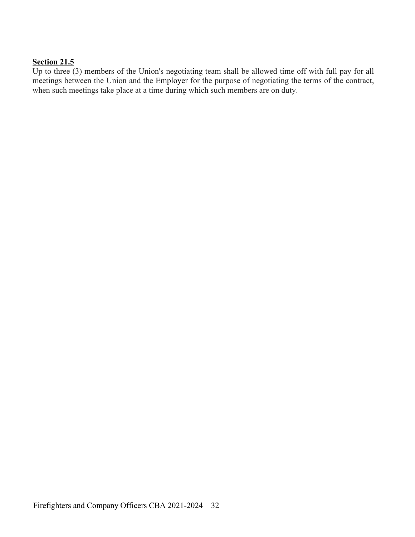## **Section 21.5**

Up to three  $(3)$  members of the Union's negotiating team shall be allowed time off with full pay for all meetings between the Union and the Employer for the purpose of negotiating the terms of the contract, when such meetings take place at a time during which such members are on duty.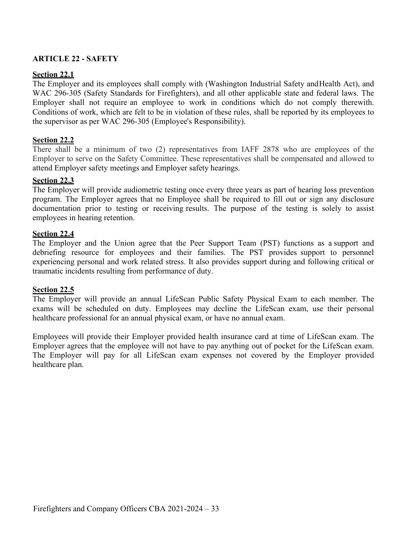# **ARTICLE 22 - SAFETY**

# **Section 22.1**

The Employer and its employees shall comply with (Washington Industrial Safety andHealth Act), and WAC 296-305 (Safety Standards for Firefighters), and all other applicable state and federal laws. The Employer shall not require an employee to work in conditions which do not comply therewith. Conditions of work, which are felt to be in violation of these rules, shall be reported by its employees to the supervisor as per WAC 296-305 (Employee's Responsibility).

# **Section 22.2**

There shall be a minimum of two (2) representatives from IAFF 2878 who are employees of the Employer to serve on the Safety Committee. These representatives shall be compensated and allowed to attend Employer safety meetings and Employer safety hearings.

## **Section 22.3**

The Employer will provide audiometric testing once every three years as part of hearing loss prevention program. The Employer agrees that no Employee shall be required to fill out or sign any disclosure documentation prior to testing or receiving results. The purpose of the testing is solely to assist employees in hearing retention.

### **Section 22.4**

The Employer and the Union agree that the Peer Support Team (PST) functions as a support and debriefing resource for employees and their families. The PST provides support to personnel experiencing personal and work related stress. It also provides support during and following critical or traumatic incidents resulting from performance of duty.

### **Section 22.5**

The Employer will provide an annual LifeScan Public Safety Physical Exam to each member. The exams will be scheduled on duty. Employees may decline the LifeScan exam, use their personal healthcare professional for an annual physical exam, or have no annual exam.

Employees will provide their Employer provided health insurance card at time of LifeScan exam. The Employer agrees that the employee will not have to pay anything out of pocket for the LifeScan exam. The Employer will pay for all LifeScan exam expenses not covered by the Employer provided healthcare plan.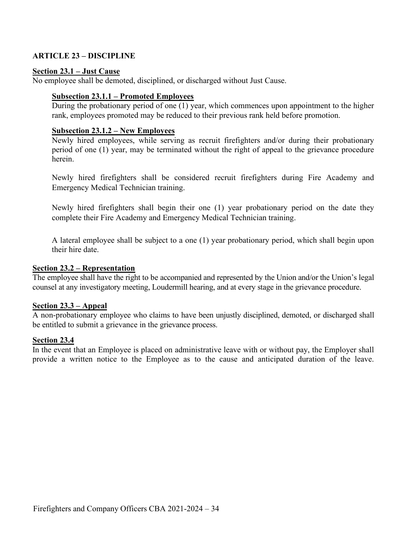## **ARTICLE 23 – DISCIPLINE**

#### **Section 23.1 – Just Cause**

No employee shall be demoted, disciplined, or discharged without Just Cause.

## **Subsection 23.1.1 – Promoted Employees**

During the probationary period of one (1) year, which commences upon appointment to the higher rank, employees promoted may be reduced to their previous rank held before promotion.

#### **Subsection 23.1.2 – New Employees**

Newly hired employees, while serving as recruit firefighters and/or during their probationary period of one (1) year, may be terminated without the right of appeal to the grievance procedure herein.

Newly hired firefighters shall be considered recruit firefighters during Fire Academy and Emergency Medical Technician training.

Newly hired firefighters shall begin their one (1) year probationary period on the date they complete their Fire Academy and Emergency Medical Technician training.

A lateral employee shall be subject to a one (1) year probationary period, which shall begin upon their hire date.

#### **Section 23.2 – Representation**

The employee shall have the right to be accompanied and represented by the Union and/or the Union's legal counsel at any investigatory meeting, Loudermill hearing, and at every stage in the grievance procedure.

#### **Section 23.3 – Appeal**

A non-probationary employee who claims to have been unjustly disciplined, demoted, or discharged shall be entitled to submit a grievance in the grievance process.

#### **Section 23.4**

In the event that an Employee is placed on administrative leave with or without pay, the Employer shall provide a written notice to the Employee as to the cause and anticipated duration of the leave.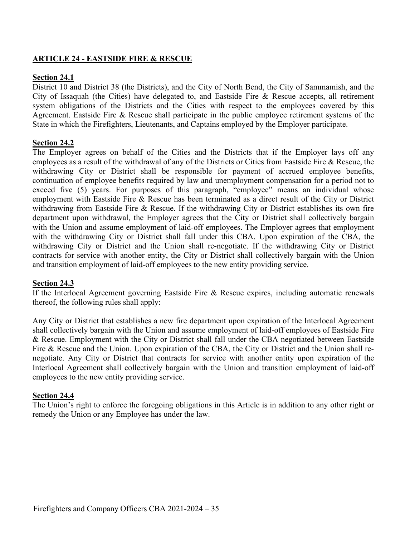# **ARTICLE 24 - EASTSIDE FIRE & RESCUE**

## **Section 24.1**

District 10 and District 38 (the Districts), and the City of North Bend, the City of Sammamish, and the City of Issaquah (the Cities) have delegated to, and Eastside Fire & Rescue accepts, all retirement system obligations of the Districts and the Cities with respect to the employees covered by this Agreement. Eastside Fire & Rescue shall participate in the public employee retirement systems of the State in which the Firefighters, Lieutenants, and Captains employed by the Employer participate.

## **Section 24.2**

The Employer agrees on behalf of the Cities and the Districts that if the Employer lays off any employees as a result of the withdrawal of any of the Districts or Cities from Eastside Fire & Rescue, the withdrawing City or District shall be responsible for payment of accrued employee benefits, continuation of employee benefits required by law and unemployment compensation for a period not to exceed five (5) years. For purposes of this paragraph, "employee" means an individual whose employment with Eastside Fire & Rescue has been terminated as a direct result of the City or District withdrawing from Eastside Fire & Rescue. If the withdrawing City or District establishes its own fire department upon withdrawal, the Employer agrees that the City or District shall collectively bargain with the Union and assume employment of laid-off employees. The Employer agrees that employment with the withdrawing City or District shall fall under this CBA. Upon expiration of the CBA, the withdrawing City or District and the Union shall re-negotiate. If the withdrawing City or District contracts for service with another entity, the City or District shall collectively bargain with the Union and transition employment of laid-off employees to the new entity providing service.

### **Section 24.3**

If the Interlocal Agreement governing Eastside Fire & Rescue expires, including automatic renewals thereof, the following rules shall apply:

Any City or District that establishes a new fire department upon expiration of the Interlocal Agreement shall collectively bargain with the Union and assume employment of laid-off employees of Eastside Fire & Rescue. Employment with the City or District shall fall under the CBA negotiated between Eastside Fire & Rescue and the Union. Upon expiration of the CBA, the City or District and the Union shall renegotiate. Any City or District that contracts for service with another entity upon expiration of the Interlocal Agreement shall collectively bargain with the Union and transition employment of laid-off employees to the new entity providing service.

### **Section 24.4**

The Union's right to enforce the foregoing obligations in this Article is in addition to any other right or remedy the Union or any Employee has under the law.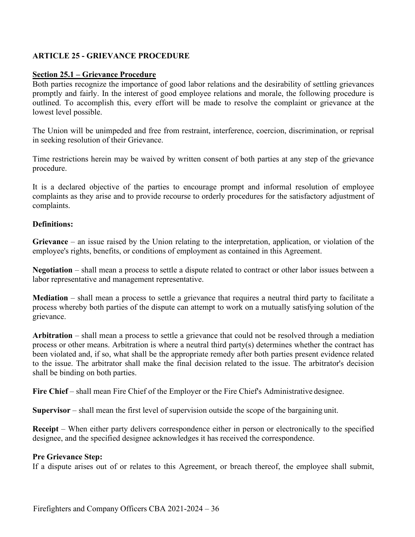# **ARTICLE 25 - GRIEVANCE PROCEDURE**

## **Section 25.1 – Grievance Procedure**

Both parties recognize the importance of good labor relations and the desirability of settling grievances promptly and fairly. In the interest of good employee relations and morale, the following procedure is outlined. To accomplish this, every effort will be made to resolve the complaint or grievance at the lowest level possible.

The Union will be unimpeded and free from restraint, interference, coercion, discrimination, or reprisal in seeking resolution of their Grievance.

Time restrictions herein may be waived by written consent of both parties at any step of the grievance procedure.

It is a declared objective of the parties to encourage prompt and informal resolution of employee complaints as they arise and to provide recourse to orderly procedures for the satisfactory adjustment of complaints.

### **Definitions:**

**Grievance** – an issue raised by the Union relating to the interpretation, application, or violation of the employee's rights, benefits, or conditions of employment as contained in this Agreement.

**Negotiation** – shall mean a process to settle a dispute related to contract or other labor issues between a labor representative and management representative.

**Mediation** – shall mean a process to settle a grievance that requires a neutral third party to facilitate a process whereby both parties of the dispute can attempt to work on a mutually satisfying solution of the grievance.

**Arbitration** – shall mean a process to settle a grievance that could not be resolved through a mediation process or other means. Arbitration is where a neutral third party(s) determines whether the contract has been violated and, if so, what shall be the appropriate remedy after both parties present evidence related to the issue. The arbitrator shall make the final decision related to the issue. The arbitrator's decision shall be binding on both parties.

Fire Chief – shall mean Fire Chief of the Employer or the Fire Chief's Administrative designee.

**Supervisor** – shall mean the first level of supervision outside the scope of the bargaining unit.

**Receipt** – When either party delivers correspondence either in person or electronically to the specified designee, and the specified designee acknowledges it has received the correspondence.

### **Pre Grievance Step:**

If a dispute arises out of or relates to this Agreement, or breach thereof, the employee shall submit,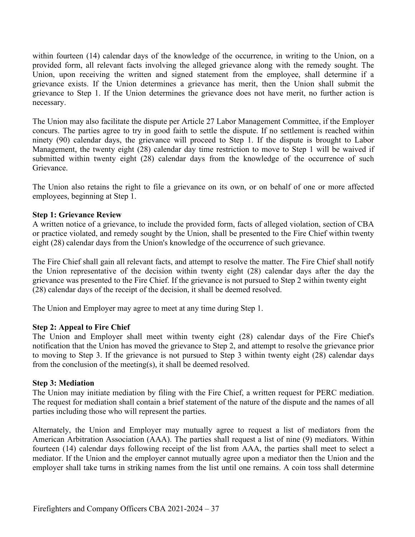within fourteen (14) calendar days of the knowledge of the occurrence, in writing to the Union, on a provided form, all relevant facts involving the alleged grievance along with the remedy sought. The Union, upon receiving the written and signed statement from the employee, shall determine if a grievance exists. If the Union determines a grievance has merit, then the Union shall submit the grievance to Step 1. If the Union determines the grievance does not have merit, no further action is necessary.

The Union may also facilitate the dispute per Article 27 Labor Management Committee, if the Employer concurs. The parties agree to try in good faith to settle the dispute. If no settlement is reached within ninety (90) calendar days, the grievance will proceed to Step 1. If the dispute is brought to Labor Management, the twenty eight (28) calendar day time restriction to move to Step 1 will be waived if submitted within twenty eight (28) calendar days from the knowledge of the occurrence of such Grievance.

The Union also retains the right to file a grievance on its own, or on behalf of one or more affected employees, beginning at Step 1.

#### **Step 1: Grievance Review**

A written notice of a grievance, to include the provided form, facts of alleged violation, section of CBA or practice violated, and remedy sought by the Union, shall be presented to the Fire Chief within twenty eight (28) calendar days from the Union's knowledge of the occurrence of such grievance.

The Fire Chief shall gain all relevant facts, and attempt to resolve the matter. The Fire Chief shall notify the Union representative of the decision within twenty eight (28) calendar days after the day the grievance was presented to the Fire Chief. If the grievance is not pursued to Step 2 within twenty eight (28) calendar days of the receipt of the decision, it shall be deemed resolved.

The Union and Employer may agree to meet at any time during Step 1.

#### **Step 2: Appeal to Fire Chief**

The Union and Employer shall meet within twenty eight (28) calendar days of the Fire Chief's notification that the Union has moved the grievance to Step 2, and attempt to resolve the grievance prior to moving to Step 3. If the grievance is not pursued to Step 3 within twenty eight (28) calendar days from the conclusion of the meeting(s), it shall be deemed resolved.

#### **Step 3: Mediation**

The Union may initiate mediation by filing with the Fire Chief, a written request for PERC mediation. The request for mediation shall contain a brief statement of the nature of the dispute and the names of all parties including those who will represent the parties.

Alternately, the Union and Employer may mutually agree to request a list of mediators from the American Arbitration Association (AAA). The parties shall request a list of nine (9) mediators. Within fourteen (14) calendar days following receipt of the list from AAA, the parties shall meet to select a mediator. If the Union and the employer cannot mutually agree upon a mediator then the Union and the employer shall take turns in striking names from the list until one remains. A coin toss shall determine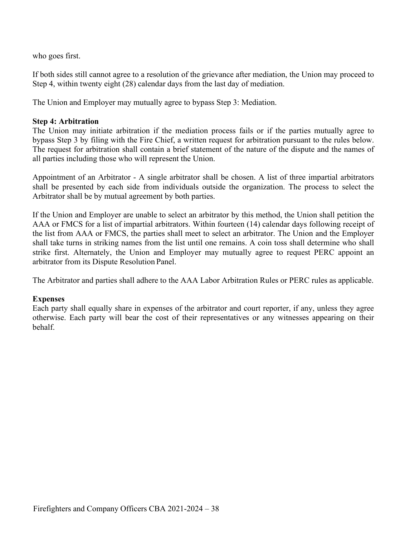who goes first.

If both sides still cannot agree to a resolution of the grievance after mediation, the Union may proceed to Step 4, within twenty eight (28) calendar days from the last day of mediation.

The Union and Employer may mutually agree to bypass Step 3: Mediation.

### **Step 4: Arbitration**

The Union may initiate arbitration if the mediation process fails or if the parties mutually agree to bypass Step 3 by filing with the Fire Chief, a written request for arbitration pursuant to the rules below. The request for arbitration shall contain a brief statement of the nature of the dispute and the names of all parties including those who will represent the Union.

Appointment of an Arbitrator - A single arbitrator shall be chosen. A list of three impartial arbitrators shall be presented by each side from individuals outside the organization. The process to select the Arbitrator shall be by mutual agreement by both parties.

If the Union and Employer are unable to select an arbitrator by this method, the Union shall petition the AAA or FMCS for a list of impartial arbitrators. Within fourteen (14) calendar days following receipt of the list from AAA or FMCS, the parties shall meet to select an arbitrator. The Union and the Employer shall take turns in striking names from the list until one remains. A coin toss shall determine who shall strike first. Alternately, the Union and Employer may mutually agree to request PERC appoint an arbitrator from its Dispute Resolution Panel.

The Arbitrator and parties shall adhere to the AAA Labor Arbitration Rules or PERC rules as applicable.

### **Expenses**

Each party shall equally share in expenses of the arbitrator and court reporter, if any, unless they agree otherwise. Each party will bear the cost of their representatives or any witnesses appearing on their behalf.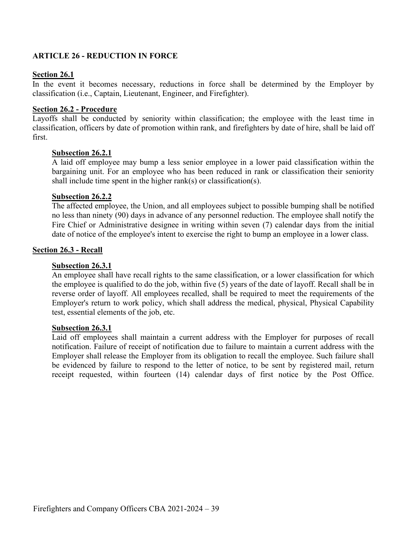## **ARTICLE 26 - REDUCTION IN FORCE**

#### **Section 26.1**

In the event it becomes necessary, reductions in force shall be determined by the Employer by classification (i.e., Captain, Lieutenant, Engineer, and Firefighter).

#### **Section 26.2 - Procedure**

Layoffs shall be conducted by seniority within classification; the employee with the least time in classification, officers by date of promotion within rank, and firefighters by date of hire, shall be laid off first.

#### **Subsection 26.2.1**

A laid off employee may bump a less senior employee in a lower paid classification within the bargaining unit. For an employee who has been reduced in rank or classification their seniority shall include time spent in the higher rank(s) or classification(s).

#### **Subsection 26.2.2**

The affected employee, the Union, and all employees subject to possible bumping shall be notified no less than ninety (90) days in advance of any personnel reduction. The employee shall notify the Fire Chief or Administrative designee in writing within seven (7) calendar days from the initial date of notice of the employee's intent to exercise the right to bump an employee in a lower class.

#### **Section 26.3 - Recall**

#### **Subsection 26.3.1**

An employee shall have recall rights to the same classification, or a lower classification for which the employee is qualified to do the job, within five (5) years of the date of layoff. Recall shall be in reverse order of layoff. All employees recalled, shall be required to meet the requirements of the Employer's return to work policy, which shall address the medical, physical, Physical Capability test, essential elements of the job, etc.

#### **Subsection 26.3.1**

Laid off employees shall maintain a current address with the Employer for purposes of recall notification. Failure of receipt of notification due to failure to maintain a current address with the Employer shall release the Employer from its obligation to recall the employee. Such failure shall be evidenced by failure to respond to the letter of notice, to be sent by registered mail, return receipt requested, within fourteen (14) calendar days of first notice by the Post Office.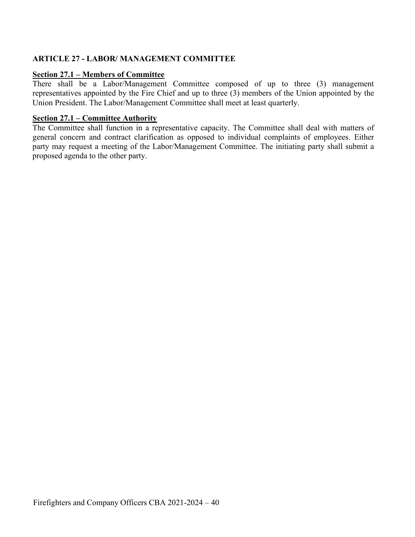# **ARTICLE 27 - LABOR/ MANAGEMENT COMMITTEE**

### **Section 27.1 – Members of Committee**

There shall be a Labor/Management Committee composed of up to three (3) management representatives appointed by the Fire Chief and up to three (3) members of the Union appointed by the Union President. The Labor/Management Committee shall meet at least quarterly.

### **Section 27.1 – Committee Authority**

The Committee shall function in a representative capacity. The Committee shall deal with matters of general concern and contract clarification as opposed to individual complaints of employees. Either party may request a meeting of the Labor/Management Committee. The initiating party shall submit a proposed agenda to the other party.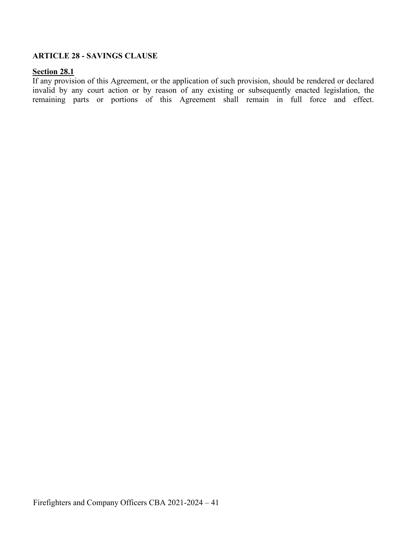## **ARTICLE 28 - SAVINGS CLAUSE**

#### **Section 28.1**

If any provision of this Agreement, or the application of such provision, should be rendered or declared invalid by any court action or by reason of any existing or subsequently enacted legislation, the remaining parts or portions of this Agreement shall remain in full force and effect.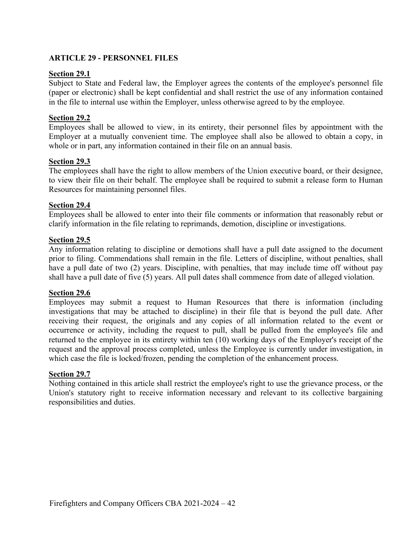# **ARTICLE 29 - PERSONNEL FILES**

## **Section 29.1**

Subject to State and Federal law, the Employer agrees the contents of the employee's personnel file (paper or electronic) shall be kept confidential and shall restrict the use of any information contained in the file to internal use within the Employer, unless otherwise agreed to by the employee.

## **Section 29.2**

Employees shall be allowed to view, in its entirety, their personnel files by appointment with the Employer at a mutually convenient time. The employee shall also be allowed to obtain a copy, in whole or in part, any information contained in their file on an annual basis.

## **Section 29.3**

The employees shall have the right to allow members of the Union executive board, or their designee, to view their file on their behalf. The employee shall be required to submit a release form to Human Resources for maintaining personnel files.

## **Section 29.4**

Employees shall be allowed to enter into their file comments or information that reasonably rebut or clarify information in the file relating to reprimands, demotion, discipline or investigations.

## **Section 29.5**

Any information relating to discipline or demotions shall have a pull date assigned to the document prior to filing. Commendations shall remain in the file. Letters of discipline, without penalties, shall have a pull date of two (2) years. Discipline, with penalties, that may include time off without pay shall have a pull date of five (5) years. All pull dates shall commence from date of alleged violation.

### **Section 29.6**

Employees may submit a request to Human Resources that there is information (including investigations that may be attached to discipline) in their file that is beyond the pull date. After receiving their request, the originals and any copies of all information related to the event or occurrence or activity, including the request to pull, shall be pulled from the employee's file and returned to the employee in its entirety within ten (10) working days of the Employer's receipt of the request and the approval process completed, unless the Employee is currently under investigation, in which case the file is locked/frozen, pending the completion of the enhancement process.

### **Section 29.7**

Nothing contained in this article shall restrict the employee's right to use the grievance process, or the Union's statutory right to receive information necessary and relevant to its collective bargaining responsibilities and duties.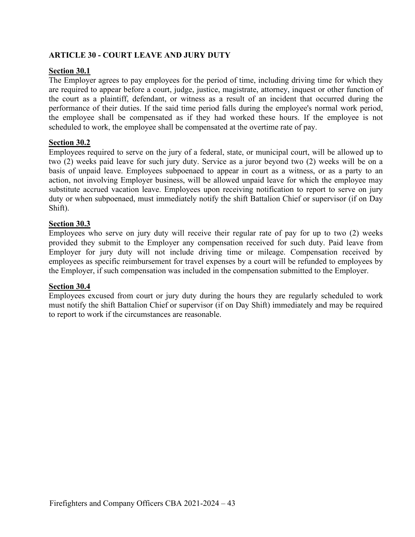# **ARTICLE 30 - COURT LEAVE AND JURY DUTY**

### **Section 30.1**

The Employer agrees to pay employees for the period of time, including driving time for which they are required to appear before a court, judge, justice, magistrate, attorney, inquest or other function of the court as a plaintiff, defendant, or witness as a result of an incident that occurred during the performance of their duties. If the said time period falls during the employee's normal work period, the employee shall be compensated as if they had worked these hours. If the employee is not scheduled to work, the employee shall be compensated at the overtime rate of pay.

## **Section 30.2**

Employees required to serve on the jury of a federal, state, or municipal court, will be allowed up to two (2) weeks paid leave for such jury duty. Service as a juror beyond two (2) weeks will be on a basis of unpaid leave. Employees subpoenaed to appear in court as a witness, or as a party to an action, not involving Employer business, will be allowed unpaid leave for which the employee may substitute accrued vacation leave. Employees upon receiving notification to report to serve on jury duty or when subpoenaed, must immediately notify the shift Battalion Chief or supervisor (if on Day Shift).

## **Section 30.3**

Employees who serve on jury duty will receive their regular rate of pay for up to two (2) weeks provided they submit to the Employer any compensation received for such duty. Paid leave from Employer for jury duty will not include driving time or mileage. Compensation received by employees as specific reimbursement for travel expenses by a court will be refunded to employees by the Employer, if such compensation was included in the compensation submitted to the Employer.

### **Section 30.4**

Employees excused from court or jury duty during the hours they are regularly scheduled to work must notify the shift Battalion Chief or supervisor (if on Day Shift) immediately and may be required to report to work if the circumstances are reasonable.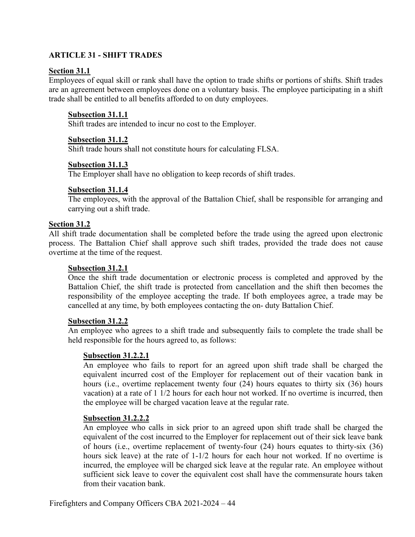## **ARTICLE 31 - SHIFT TRADES**

#### **Section 31.1**

Employees of equal skill or rank shall have the option to trade shifts or portions of shifts. Shift trades are an agreement between employees done on a voluntary basis. The employee participating in a shift trade shall be entitled to all benefits afforded to on duty employees.

#### **Subsection 31.1.1**

Shift trades are intended to incur no cost to the Employer.

#### **Subsection 31.1.2**

Shift trade hours shall not constitute hours for calculating FLSA.

### **Subsection 31.1.3**

The Employer shall have no obligation to keep records of shift trades.

### **Subsection 31.1.4**

The employees, with the approval of the Battalion Chief, shall be responsible for arranging and carrying out a shift trade.

## **Section 31.2**

All shift trade documentation shall be completed before the trade using the agreed upon electronic process. The Battalion Chief shall approve such shift trades, provided the trade does not cause overtime at the time of the request.

#### **Subsection 31.2.1**

Once the shift trade documentation or electronic process is completed and approved by the Battalion Chief, the shift trade is protected from cancellation and the shift then becomes the responsibility of the employee accepting the trade. If both employees agree, a trade may be cancelled at any time, by both employees contacting the on- duty Battalion Chief.

#### **Subsection 31.2.2**

An employee who agrees to a shift trade and subsequently fails to complete the trade shall be held responsible for the hours agreed to, as follows:

#### **Subsection 31.2.2.1**

An employee who fails to report for an agreed upon shift trade shall be charged the equivalent incurred cost of the Employer for replacement out of their vacation bank in hours (i.e., overtime replacement twenty four (24) hours equates to thirty six (36) hours vacation) at a rate of 1 1/2 hours for each hour not worked. If no overtime is incurred, then the employee will be charged vacation leave at the regular rate.

#### **Subsection 31.2.2.2**

An employee who calls in sick prior to an agreed upon shift trade shall be charged the equivalent of the cost incurred to the Employer for replacement out of their sick leave bank of hours (i.e., overtime replacement of twenty-four (24) hours equates to thirty-six (36) hours sick leave) at the rate of 1-1/2 hours for each hour not worked. If no overtime is incurred, the employee will be charged sick leave at the regular rate. An employee without sufficient sick leave to cover the equivalent cost shall have the commensurate hours taken from their vacation bank.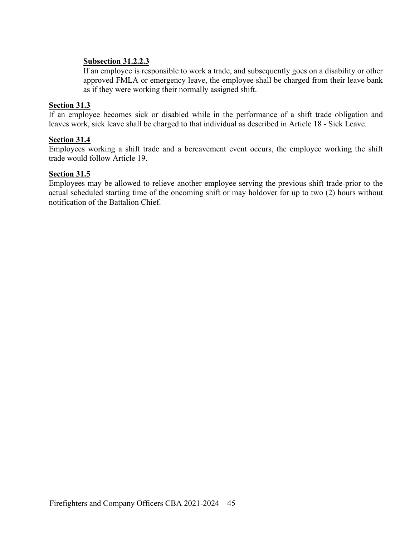## **Subsection 31.2.2.3**

If an employee is responsible to work a trade, and subsequently goes on a disability or other approved FMLA or emergency leave, the employee shall be charged from their leave bank as if they were working their normally assigned shift.

## **Section 31.3**

If an employee becomes sick or disabled while in the performance of a shift trade obligation and leaves work, sick leave shall be charged to that individual as described in Article 18 - Sick Leave.

## **Section 31.4**

Employees working a shift trade and a bereavement event occurs, the employee working the shift trade would follow Article 19.

## **Section 31.5**

Employees may be allowed to relieve another employee serving the previous shift trade prior to the actual scheduled starting time of the oncoming shift or may holdover for up to two (2) hours without notification of the Battalion Chief.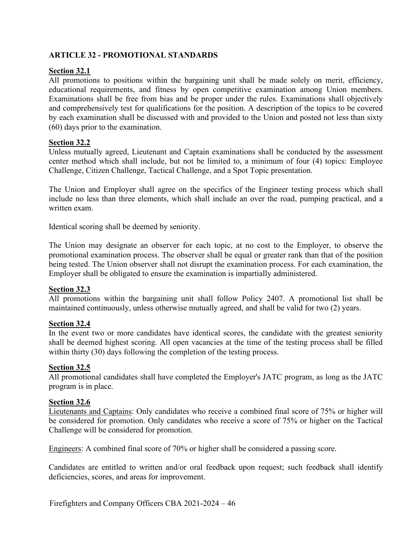# **ARTICLE 32 - PROMOTIONAL STANDARDS**

# **Section 32.1**

All promotions to positions within the bargaining unit shall be made solely on merit, efficiency, educational requirements, and fitness by open competitive examination among Union members. Examinations shall be free from bias and be proper under the rules. Examinations shall objectively and comprehensively test for qualifications for the position. A description of the topics to be covered by each examination shall be discussed with and provided to the Union and posted not less than sixty (60) days prior to the examination.

# **Section 32.2**

Unless mutually agreed, Lieutenant and Captain examinations shall be conducted by the assessment center method which shall include, but not be limited to, a minimum of four (4) topics: Employee Challenge, Citizen Challenge, Tactical Challenge, and a Spot Topic presentation.

The Union and Employer shall agree on the specifics of the Engineer testing process which shall include no less than three elements, which shall include an over the road, pumping practical, and a written exam.

Identical scoring shall be deemed by seniority.

The Union may designate an observer for each topic, at no cost to the Employer, to observe the promotional examination process. The observer shall be equal or greater rank than that of the position being tested. The Union observer shall not disrupt the examination process. For each examination, the Employer shall be obligated to ensure the examination is impartially administered.

# **Section 32.3**

All promotions within the bargaining unit shall follow Policy 2407. A promotional list shall be maintained continuously, unless otherwise mutually agreed, and shall be valid for two (2) years.

# **Section 32.4**

In the event two or more candidates have identical scores, the candidate with the greatest seniority shall be deemed highest scoring. All open vacancies at the time of the testing process shall be filled within thirty (30) days following the completion of the testing process.

# **Section 32.5**

All promotional candidates shall have completed the Employer's JATC program, as long as the JATC program is in place.

# **Section 32.6**

Lieutenants and Captains: Only candidates who receive a combined final score of 75% or higher will be considered for promotion. Only candidates who receive a score of 75% or higher on the Tactical Challenge will be considered for promotion.

Engineers: A combined final score of 70% or higher shall be considered a passing score.

Candidates are entitled to written and/or oral feedback upon request; such feedback shall identify deficiencies, scores, and areas for improvement.

Firefighters and Company Officers CBA 2021-2024 – 46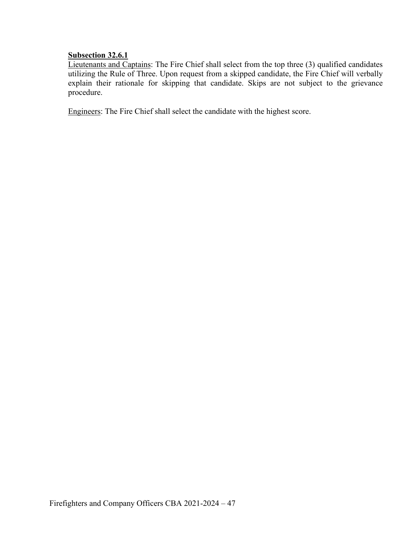# **Subsection 32.6.1**

Lieutenants and Captains: The Fire Chief shall select from the top three (3) qualified candidates utilizing the Rule of Three. Upon request from a skipped candidate, the Fire Chief will verbally explain their rationale for skipping that candidate. Skips are not subject to the grievance procedure.

Engineers: The Fire Chief shall select the candidate with the highest score.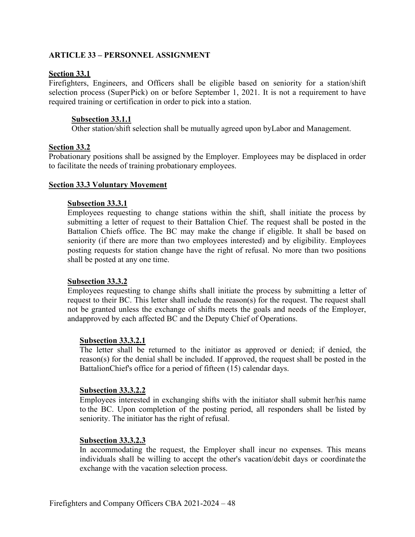## **ARTICLE 33 – PERSONNEL ASSIGNMENT**

#### **Section 33.1**

Firefighters, Engineers, and Officers shall be eligible based on seniority for a station/shift selection process (SuperPick) on or before September 1, 2021. It is not a requirement to have required training or certification in order to pick into a station.

### **Subsection 33.1.1**

Other station/shift selection shall be mutually agreed upon byLabor and Management.

### **Section 33.2**

Probationary positions shall be assigned by the Employer. Employees may be displaced in order to facilitate the needs of training probationary employees.

#### **Section 33.3 Voluntary Movement**

#### **Subsection 33.3.1**

Employees requesting to change stations within the shift, shall initiate the process by submitting a letter of request to their Battalion Chief. The request shall be posted in the Battalion Chiefs office. The BC may make the change if eligible. It shall be based on seniority (if there are more than two employees interested) and by eligibility. Employees posting requests for station change have the right of refusal. No more than two positions shall be posted at any one time.

### **Subsection 33.3.2**

Employees requesting to change shifts shall initiate the process by submitting a letter of request to their BC. This letter shall include the reason(s) for the request. The request shall not be granted unless the exchange of shifts meets the goals and needs of the Employer, andapproved by each affected BC and the Deputy Chief of Operations.

### **Subsection 33.3.2.1**

The letter shall be returned to the initiator as approved or denied; if denied, the reason(s) for the denial shall be included. If approved, the request shall be posted in the BattalionChief's office for a period of fifteen (15) calendar days.

#### **Subsection 33.3.2.2**

Employees interested in exchanging shifts with the initiator shall submit her/his name to the BC. Upon completion of the posting period, all responders shall be listed by seniority. The initiator has the right of refusal.

### **Subsection 33.3.2.3**

In accommodating the request, the Employer shall incur no expenses. This means individuals shall be willing to accept the other's vacation/debit days or coordinate the exchange with the vacation selection process.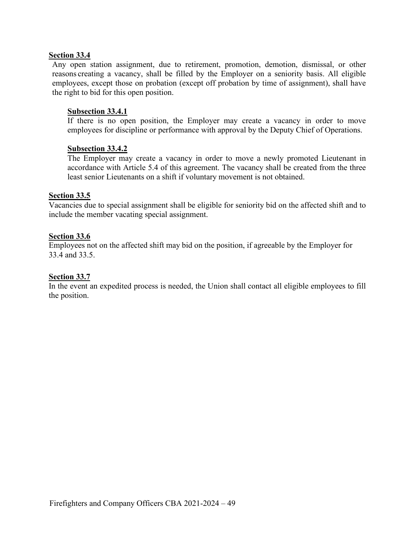### **Section 33.4**

Any open station assignment, due to retirement, promotion, demotion, dismissal, or other reasons creating a vacancy, shall be filled by the Employer on a seniority basis. All eligible employees, except those on probation (except off probation by time of assignment), shall have the right to bid for this open position.

### **Subsection 33.4.1**

If there is no open position, the Employer may create a vacancy in order to move employees for discipline or performance with approval by the Deputy Chief of Operations.

### **Subsection 33.4.2**

The Employer may create a vacancy in order to move a newly promoted Lieutenant in accordance with Article 5.4 of this agreement. The vacancy shall be created from the three least senior Lieutenants on a shift if voluntary movement is not obtained.

# **Section 33.5**

Vacancies due to special assignment shall be eligible for seniority bid on the affected shift and to include the member vacating special assignment.

## **Section 33.6**

Employees not on the affected shift may bid on the position, if agreeable by the Employer for 33.4 and 33.5.

### **Section 33.7**

In the event an expedited process is needed, the Union shall contact all eligible employees to fill the position.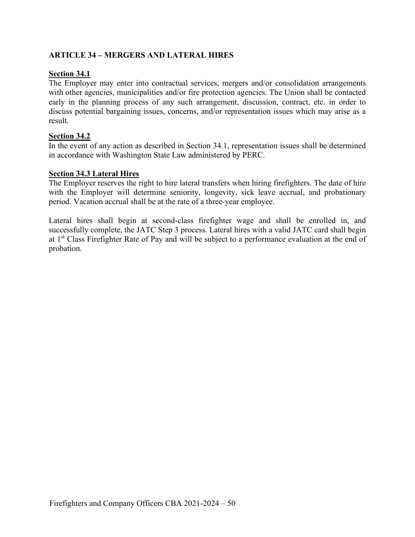# **ARTICLE 34 – MERGERS AND LATERAL HIRES**

## **Section 34.1**

The Employer may enter into contractual services, mergers and/or consolidation arrangements with other agencies, municipalities and/or fire protection agencies. The Union shall be contacted early in the planning process of any such arrangement, discussion, contract, etc. in order to discuss potential bargaining issues, concerns, and/or representation issues which may arise as a result.

## **Section 34.2**

In the event of any action as described in Section 34.1, representation issues shall be determined in accordance with Washington State Law administered by PERC.

### **Section 34.3 Lateral Hires**

The Employer reserves the right to hire lateral transfers when hiring firefighters. The date of hire with the Employer will determine seniority, longevity, sick leave accrual, and probationary period. Vacation accrual shall be at the rate of a three-year employee.

Lateral hires shall begin at second-class firefighter wage and shall be enrolled in, and successfully complete, the JATC Step 3 process. Lateral hires with a valid JATC card shall begin at 1<sup>st</sup> Class Firefighter Rate of Pay and will be subject to a performance evaluation at the end of probation.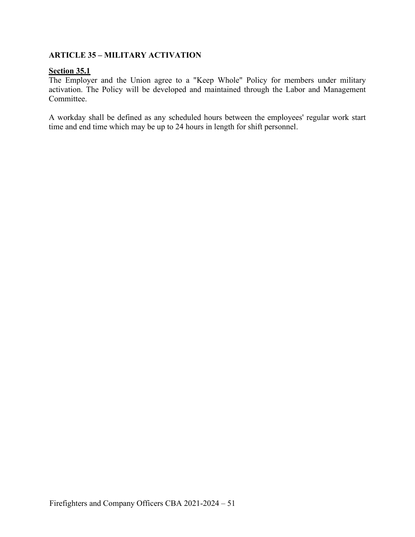# **ARTICLE 35 – MILITARY ACTIVATION**

## **Section 35.1**

The Employer and the Union agree to a "Keep Whole" Policy for members under military activation. The Policy will be developed and maintained through the Labor and Management Committee.

A workday shall be defined as any scheduled hours between the employees' regular work start time and end time which may be up to 24 hours in length for shift personnel.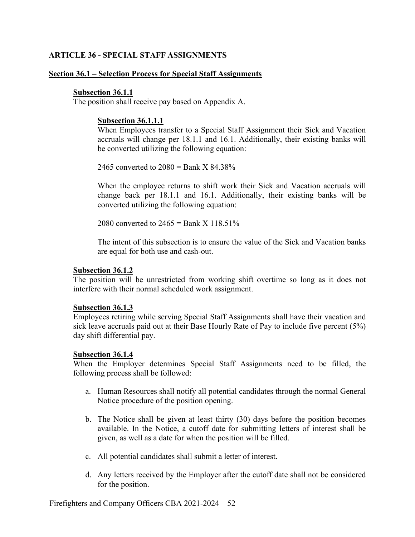## **ARTICLE 36 - SPECIAL STAFF ASSIGNMENTS**

#### **Section 36.1 – Selection Process for Special Staff Assignments**

#### **Subsection 36.1.1**

The position shall receive pay based on Appendix A.

#### **Subsection 36.1.1.1**

When Employees transfer to a Special Staff Assignment their Sick and Vacation accruals will change per 18.1.1 and 16.1. Additionally, their existing banks will be converted utilizing the following equation:

2465 converted to  $2080 =$ Bank X 84.38%

When the employee returns to shift work their Sick and Vacation accruals will change back per 18.1.1 and 16.1. Additionally, their existing banks will be converted utilizing the following equation:

2080 converted to  $2465 =$ Bank X  $118.51\%$ 

The intent of this subsection is to ensure the value of the Sick and Vacation banks are equal for both use and cash-out.

#### **Subsection 36.1.2**

The position will be unrestricted from working shift overtime so long as it does not interfere with their normal scheduled work assignment.

### **Subsection 36.1.3**

Employees retiring while serving Special Staff Assignments shall have their vacation and sick leave accruals paid out at their Base Hourly Rate of Pay to include five percent (5%) day shift differential pay.

#### **Subsection 36.1.4**

When the Employer determines Special Staff Assignments need to be filled, the following process shall be followed:

- a. Human Resources shall notify all potential candidates through the normal General Notice procedure of the position opening.
- b. The Notice shall be given at least thirty (30) days before the position becomes available. In the Notice, a cutoff date for submitting letters of interest shall be given, as well as a date for when the position will be filled.
- c. All potential candidates shall submit a letter of interest.
- d. Any letters received by the Employer after the cutoff date shall not be considered for the position.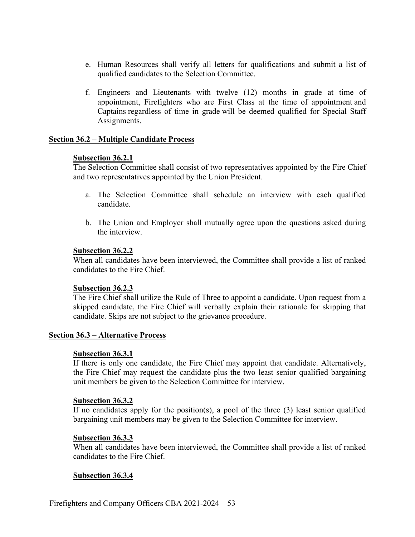- e. Human Resources shall verify all letters for qualifications and submit a list of qualified candidates to the Selection Committee.
- f. Engineers and Lieutenants with twelve (12) months in grade at time of appointment, Firefighters who are First Class at the time of appointment and Captains regardless of time in grade will be deemed qualified for Special Staff Assignments.

### **Section 36.2 – Multiple Candidate Process**

#### **Subsection 36.2.1**

The Selection Committee shall consist of two representatives appointed by the Fire Chief and two representatives appointed by the Union President.

- a. The Selection Committee shall schedule an interview with each qualified candidate.
- b. The Union and Employer shall mutually agree upon the questions asked during the interview.

#### **Subsection 36.2.2**

When all candidates have been interviewed, the Committee shall provide a list of ranked candidates to the Fire Chief.

### **Subsection 36.2.3**

The Fire Chief shall utilize the Rule of Three to appoint a candidate. Upon request from a skipped candidate, the Fire Chief will verbally explain their rationale for skipping that candidate. Skips are not subject to the grievance procedure.

### **Section 36.3 – Alternative Process**

### **Subsection 36.3.1**

If there is only one candidate, the Fire Chief may appoint that candidate. Alternatively, the Fire Chief may request the candidate plus the two least senior qualified bargaining unit members be given to the Selection Committee for interview.

#### **Subsection 36.3.2**

If no candidates apply for the position(s), a pool of the three (3) least senior qualified bargaining unit members may be given to the Selection Committee for interview.

#### **Subsection 36.3.3**

When all candidates have been interviewed, the Committee shall provide a list of ranked candidates to the Fire Chief.

### **Subsection 36.3.4**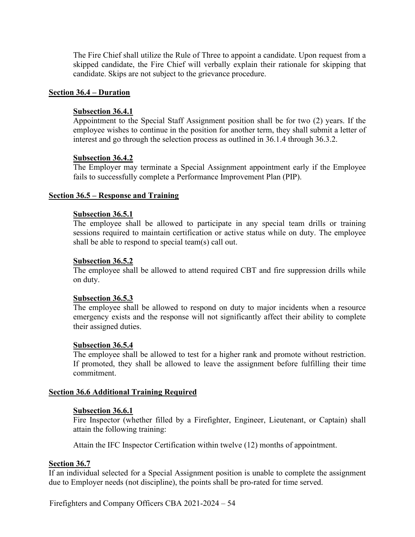The Fire Chief shall utilize the Rule of Three to appoint a candidate. Upon request from a skipped candidate, the Fire Chief will verbally explain their rationale for skipping that candidate. Skips are not subject to the grievance procedure.

#### **Section 36.4 – Duration**

# **Subsection 36.4.1**

Appointment to the Special Staff Assignment position shall be for two (2) years. If the employee wishes to continue in the position for another term, they shall submit a letter of interest and go through the selection process as outlined in 36.1.4 through 36.3.2.

#### **Subsection 36.4.2**

The Employer may terminate a Special Assignment appointment early if the Employee fails to successfully complete a Performance Improvement Plan (PIP).

#### **Section 36.5 – Response and Training**

#### **Subsection 36.5.1**

The employee shall be allowed to participate in any special team drills or training sessions required to maintain certification or active status while on duty. The employee shall be able to respond to special team(s) call out.

#### **Subsection 36.5.2**

The employee shall be allowed to attend required CBT and fire suppression drills while on duty.

#### **Subsection 36.5.3**

The employee shall be allowed to respond on duty to major incidents when a resource emergency exists and the response will not significantly affect their ability to complete their assigned duties.

#### **Subsection 36.5.4**

The employee shall be allowed to test for a higher rank and promote without restriction. If promoted, they shall be allowed to leave the assignment before fulfilling their time commitment.

#### **Section 36.6 Additional Training Required**

#### **Subsection 36.6.1**

Fire Inspector (whether filled by a Firefighter, Engineer, Lieutenant, or Captain) shall attain the following training:

Attain the IFC Inspector Certification within twelve (12) months of appointment.

## **Section 36.7**

If an individual selected for a Special Assignment position is unable to complete the assignment due to Employer needs (not discipline), the points shall be pro-rated for time served.

Firefighters and Company Officers CBA 2021-2024 – 54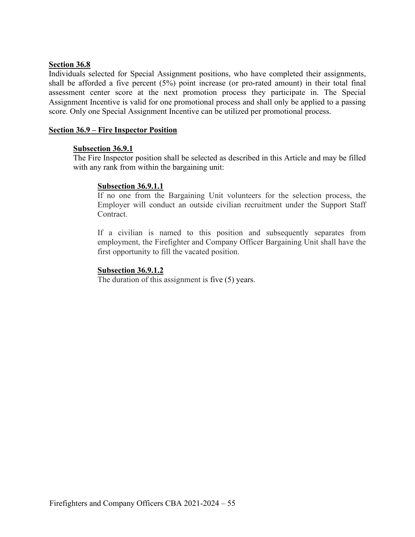### **Section 36.8**

Individuals selected for Special Assignment positions, who have completed their assignments, shall be afforded a five percent (5%) point increase (or pro-rated amount) in their total final assessment center score at the next promotion process they participate in. The Special Assignment Incentive is valid for one promotional process and shall only be applied to a passing score. Only one Special Assignment Incentive can be utilized per promotional process.

#### **Section 36.9 – Fire Inspector Position**

#### **Subsection 36.9.1**

The Fire Inspector position shall be selected as described in this Article and may be filled with any rank from within the bargaining unit:

### **Subsection 36.9.1.1**

If no one from the Bargaining Unit volunteers for the selection process, the Employer will conduct an outside civilian recruitment under the Support Staff Contract.

If a civilian is named to this position and subsequently separates from employment, the Firefighter and Company Officer Bargaining Unit shall have the first opportunity to fill the vacated position.

#### **Subsection 36.9.1.2**

The duration of this assignment is five (5) years.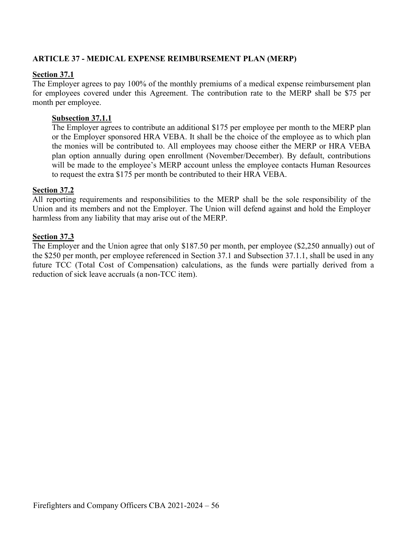# **ARTICLE 37 - MEDICAL EXPENSE REIMBURSEMENT PLAN (MERP)**

# **Section 37.1**

The Employer agrees to pay 100% of the monthly premiums of a medical expense reimbursement plan for employees covered under this Agreement. The contribution rate to the MERP shall be \$75 per month per employee.

# **Subsection 37.1.1**

The Employer agrees to contribute an additional \$175 per employee per month to the MERP plan or the Employer sponsored HRA VEBA. It shall be the choice of the employee as to which plan the monies will be contributed to. All employees may choose either the MERP or HRA VEBA plan option annually during open enrollment (November/December). By default, contributions will be made to the employee's MERP account unless the employee contacts Human Resources to request the extra \$175 per month be contributed to their HRA VEBA.

# **Section 37.2**

All reporting requirements and responsibilities to the MERP shall be the sole responsibility of the Union and its members and not the Employer. The Union will defend against and hold the Employer harmless from any liability that may arise out of the MERP.

# **Section 37.3**

The Employer and the Union agree that only \$187.50 per month, per employee (\$2,250 annually) out of the \$250 per month, per employee referenced in Section 37.1 and Subsection 37.1.1, shall be used in any future TCC (Total Cost of Compensation) calculations, as the funds were partially derived from a reduction of sick leave accruals (a non-TCC item).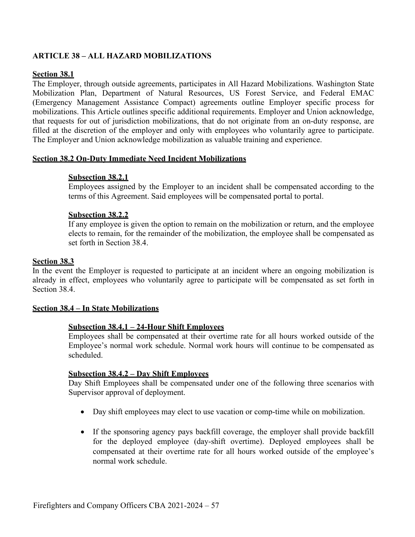# **ARTICLE 38 – ALL HAZARD MOBILIZATIONS**

### **Section 38.1**

The Employer, through outside agreements, participates in All Hazard Mobilizations. Washington State Mobilization Plan, Department of Natural Resources, US Forest Service, and Federal EMAC (Emergency Management Assistance Compact) agreements outline Employer specific process for mobilizations. This Article outlines specific additional requirements. Employer and Union acknowledge, that requests for out of jurisdiction mobilizations, that do not originate from an on-duty response, are filled at the discretion of the employer and only with employees who voluntarily agree to participate. The Employer and Union acknowledge mobilization as valuable training and experience.

#### **Section 38.2 On-Duty Immediate Need Incident Mobilizations**

#### **Subsection 38.2.1**

Employees assigned by the Employer to an incident shall be compensated according to the terms of this Agreement. Said employees will be compensated portal to portal.

#### **Subsection 38.2.2**

If any employee is given the option to remain on the mobilization or return, and the employee elects to remain, for the remainder of the mobilization, the employee shall be compensated as set forth in Section 38.4.

#### **Section 38.3**

In the event the Employer is requested to participate at an incident where an ongoing mobilization is already in effect, employees who voluntarily agree to participate will be compensated as set forth in Section 38.4.

#### **Section 38.4 – In State Mobilizations**

#### **Subsection 38.4.1 – 24-Hour Shift Employees**

Employees shall be compensated at their overtime rate for all hours worked outside of the Employee's normal work schedule. Normal work hours will continue to be compensated as scheduled.

#### **Subsection 38.4.2 – Day Shift Employees**

Day Shift Employees shall be compensated under one of the following three scenarios with Supervisor approval of deployment.

- Day shift employees may elect to use vacation or comp-time while on mobilization.
- If the sponsoring agency pays backfill coverage, the employer shall provide backfill for the deployed employee (day-shift overtime). Deployed employees shall be compensated at their overtime rate for all hours worked outside of the employee's normal work schedule.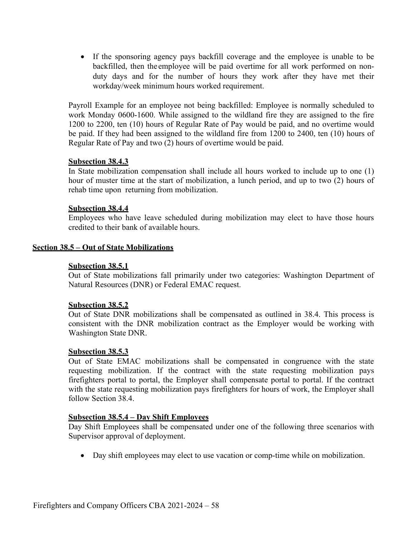• If the sponsoring agency pays backfill coverage and the employee is unable to be backfilled, then the employee will be paid overtime for all work performed on nonduty days and for the number of hours they work after they have met their workday/week minimum hours worked requirement.

Payroll Example for an employee not being backfilled: Employee is normally scheduled to work Monday 0600-1600. While assigned to the wildland fire they are assigned to the fire 1200 to 2200, ten (10) hours of Regular Rate of Pay would be paid, and no overtime would be paid. If they had been assigned to the wildland fire from 1200 to 2400, ten (10) hours of Regular Rate of Pay and two (2) hours of overtime would be paid.

#### **Subsection 38.4.3**

In State mobilization compensation shall include all hours worked to include up to one (1) hour of muster time at the start of mobilization, a lunch period, and up to two (2) hours of rehab time upon returning from mobilization.

#### **Subsection 38.4.4**

Employees who have leave scheduled during mobilization may elect to have those hours credited to their bank of available hours.

#### **Section 38.5 – Out of State Mobilizations**

#### **Subsection 38.5.1**

Out of State mobilizations fall primarily under two categories: Washington Department of Natural Resources (DNR) or Federal EMAC request.

#### **Subsection 38.5.2**

Out of State DNR mobilizations shall be compensated as outlined in 38.4. This process is consistent with the DNR mobilization contract as the Employer would be working with Washington State DNR.

#### **Subsection 38.5.3**

Out of State EMAC mobilizations shall be compensated in congruence with the state requesting mobilization. If the contract with the state requesting mobilization pays firefighters portal to portal, the Employer shall compensate portal to portal. If the contract with the state requesting mobilization pays firefighters for hours of work, the Employer shall follow Section 38.4.

### **Subsection 38.5.4 – Day Shift Employees**

Day Shift Employees shall be compensated under one of the following three scenarios with Supervisor approval of deployment.

• Day shift employees may elect to use vacation or comp-time while on mobilization.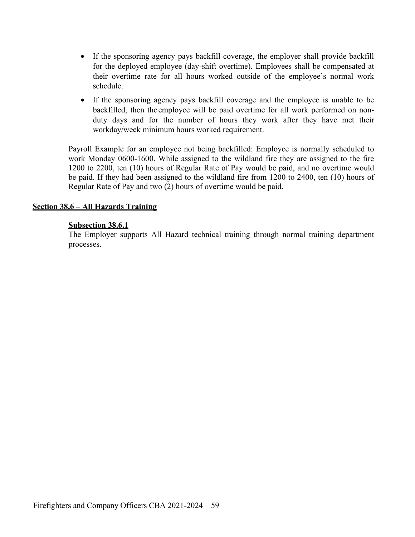- If the sponsoring agency pays backfill coverage, the employer shall provide backfill for the deployed employee (day-shift overtime). Employees shall be compensated at their overtime rate for all hours worked outside of the employee's normal work schedule.
- If the sponsoring agency pays backfill coverage and the employee is unable to be backfilled, then the employee will be paid overtime for all work performed on nonduty days and for the number of hours they work after they have met their workday/week minimum hours worked requirement.

Payroll Example for an employee not being backfilled: Employee is normally scheduled to work Monday 0600-1600. While assigned to the wildland fire they are assigned to the fire 1200 to 2200, ten (10) hours of Regular Rate of Pay would be paid, and no overtime would be paid. If they had been assigned to the wildland fire from 1200 to 2400, ten (10) hours of Regular Rate of Pay and two (2) hours of overtime would be paid.

## **Section 38.6 – All Hazards Training**

### **Subsection 38.6.1**

The Employer supports All Hazard technical training through normal training department processes.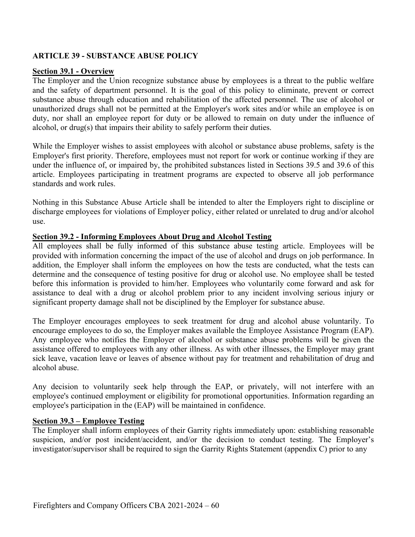# **ARTICLE 39 - SUBSTANCE ABUSE POLICY**

#### **Section 39.1 - Overview**

The Employer and the Union recognize substance abuse by employees is a threat to the public welfare and the safety of department personnel. It is the goal of this policy to eliminate, prevent or correct substance abuse through education and rehabilitation of the affected personnel. The use of alcohol or unauthorized drugs shall not be permitted at the Employer's work sites and/or while an employee is on duty, nor shall an employee report for duty or be allowed to remain on duty under the influence of alcohol, or drug(s) that impairs their ability to safely perform their duties.

While the Employer wishes to assist employees with alcohol or substance abuse problems, safety is the Employer's first priority. Therefore, employees must not report for work or continue working if they are under the influence of, or impaired by, the prohibited substances listed in Sections 39.5 and 39.6 of this article. Employees participating in treatment programs are expected to observe all job performance standards and work rules.

Nothing in this Substance Abuse Article shall be intended to alter the Employers right to discipline or discharge employees for violations of Employer policy, either related or unrelated to drug and/or alcohol use.

#### **Section 39.2 - Informing Employees About Drug and Alcohol Testing**

All employees shall be fully informed of this substance abuse testing article. Employees will be provided with information concerning the impact of the use of alcohol and drugs on job performance. In addition, the Employer shall inform the employees on how the tests are conducted, what the tests can determine and the consequence of testing positive for drug or alcohol use. No employee shall be tested before this information is provided to him/her. Employees who voluntarily come forward and ask for assistance to deal with a drug or alcohol problem prior to any incident involving serious injury or significant property damage shall not be disciplined by the Employer for substance abuse.

The Employer encourages employees to seek treatment for drug and alcohol abuse voluntarily. To encourage employees to do so, the Employer makes available the Employee Assistance Program (EAP). Any employee who notifies the Employer of alcohol or substance abuse problems will be given the assistance offered to employees with any other illness. As with other illnesses, the Employer may grant sick leave, vacation leave or leaves of absence without pay for treatment and rehabilitation of drug and alcohol abuse.

Any decision to voluntarily seek help through the EAP, or privately, will not interfere with an employee's continued employment or eligibility for promotional opportunities. Information regarding an employee's participation in the (EAP) will be maintained in confidence.

### **Section 39.3 – Employee Testing**

The Employer shall inform employees of their Garrity rights immediately upon: establishing reasonable suspicion, and/or post incident/accident, and/or the decision to conduct testing. The Employer's investigator/supervisor shall be required to sign the Garrity Rights Statement (appendix C) prior to any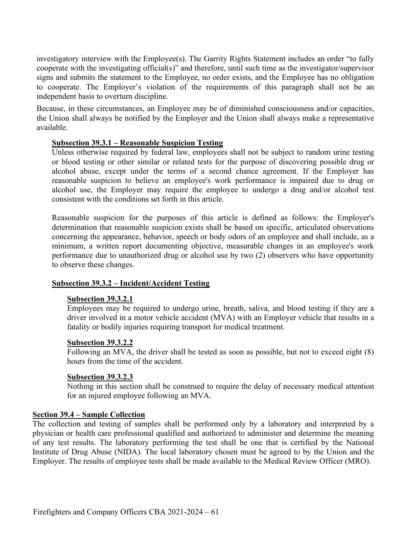investigatory interview with the Employee(s). The Garrity Rights Statement includes an order "to fully cooperate with the investigating official(s)" and therefore, until such time as the investigator/supervisor signs and submits the statement to the Employee, no order exists, and the Employee has no obligation to cooperate. The Employer's violation of the requirements of this paragraph shall not be an independent basis to overturn discipline.

Because, in these circumstances, an Employee may be of diminished consciousness and/or capacities, the Union shall always be notified by the Employer and the Union shall always make a representative available.

## **Subsection 39.3.1 – Reasonable Suspicion Testing**

Unless otherwise required by federal law, employees shall not be subject to random urine testing or blood testing or other similar or related tests for the purpose of discovering possible drug or alcohol abuse, except under the terms of a second chance agreement. If the Employer has reasonable suspicion to believe an employee's work performance is impaired due to drug or alcohol use, the Employer may require the employee to undergo a drug and/or alcohol test consistent with the conditions set forth in this article.

Reasonable suspicion for the purposes of this article is defined as follows: the Employer's determination that reasonable suspicion exists shall be based on specific, articulated observations concerning the appearance, behavior, speech or body odors of an employee and shall include, as a minimum, a written report documenting objective, measurable changes in an employee's work performance due to unauthorized drug or alcohol use by two (2) observers who have opportunity to observe these changes.

# **Subsection 39.3.2 – Incident/Accident Testing**

### **Subsection 39.3.2.1**

Employees may be required to undergo urine, breath, saliva, and blood testing if they are a driver involved in a motor vehicle accident (MVA) with an Employer vehicle that results in a fatality or bodily injuries requiring transport for medical treatment.

### **Subsection 39.3.2.2**

Following an MVA, the driver shall be tested as soon as possible, but not to exceed eight (8) hours from the time of the accident.

### **Subsection 39.3.2.3**

Nothing in this section shall be construed to require the delay of necessary medical attention for an injured employee following an MVA.

### **Section 39.4 – Sample Collection**

The collection and testing of samples shall be performed only by a laboratory and interpreted by a physician or health care professional qualified and authorized to administer and determine the meaning of any test results. The laboratory performing the test shall be one that is certified by the National Institute of Drug Abuse (NIDA). The local laboratory chosen must be agreed to by the Union and the Employer. The results of employee tests shall be made available to the Medical Review Officer (MRO).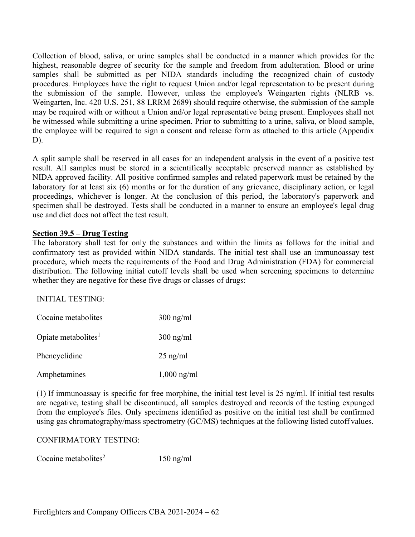Collection of blood, saliva, or urine samples shall be conducted in a manner which provides for the highest, reasonable degree of security for the sample and freedom from adulteration. Blood or urine samples shall be submitted as per NIDA standards including the recognized chain of custody procedures. Employees have the right to request Union and/or legal representation to be present during the submission of the sample. However, unless the employee's Weingarten rights (NLRB vs. Weingarten, Inc. 420 U.S. 251, 88 LRRM 2689) should require otherwise, the submission of the sample may be required with or without a Union and/or legal representative being present. Employees shall not be witnessed while submitting a urine specimen. Prior to submitting to a urine, saliva, or blood sample, the employee will be required to sign a consent and release form as attached to this article (Appendix D).

A split sample shall be reserved in all cases for an independent analysis in the event of a positive test result. All samples must be stored in a scientifically acceptable preserved manner as established by NIDA approved facility. All positive confirmed samples and related paperwork must be retained by the laboratory for at least six (6) months or for the duration of any grievance, disciplinary action, or legal proceedings, whichever is longer. At the conclusion of this period, the laboratory's paperwork and specimen shall be destroyed. Tests shall be conducted in a manner to ensure an employee's legal drug use and diet does not affect the test result.

## **Section 39.5 – Drug Testing**

The laboratory shall test for only the substances and within the limits as follows for the initial and confirmatory test as provided within NIDA standards. The initial test shall use an immunoassay test procedure, which meets the requirements of the Food and Drug Administration (FDA) for commercial distribution. The following initial cutoff levels shall be used when screening specimens to determine whether they are negative for these five drugs or classes of drugs:

### INITIAL TESTING:

| Cocaine metabolites             | $300$ ng/ml   |
|---------------------------------|---------------|
| Opiate metabolites <sup>1</sup> | $300$ ng/ml   |
| Phencyclidine                   | $25$ ng/ml    |
| Amphetamines                    | $1,000$ ng/ml |

(1) If immunoassay is specific for free morphine, the initial test level is 25 ng/ml. If initial test results are negative, testing shall be discontinued, all samples destroyed and records of the testing expunged from the employee's files. Only specimens identified as positive on the initial test shall be confirmed using gas chromatography/mass spectrometry (GC/MS) techniques at the following listed cutoff values.

### CONFIRMATORY TESTING:

Cocaine metabolites<sup>2</sup> 150 ng/ml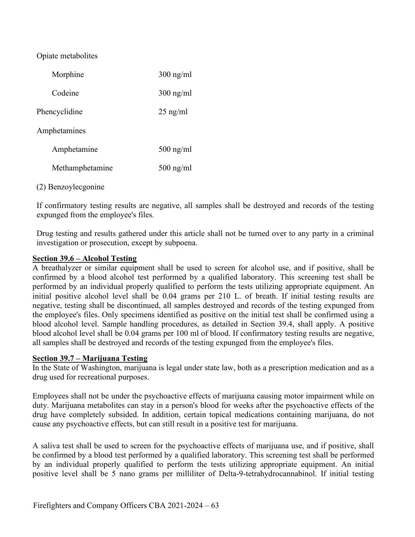Opiate metabolites

| Morphine            | $300$ ng/ml |
|---------------------|-------------|
| Codeine             | $300$ ng/ml |
| Phencyclidine       | $25$ ng/ml  |
| Amphetamines        |             |
| Amphetamine         | $500$ ng/ml |
| Methamphetamine     | $500$ ng/ml |
| (2) Benzoylecgonine |             |

If confirmatory testing results are negative, all samples shall be destroyed and records of the testing expunged from the employee's files.

Drug testing and results gathered under this article shall not be turned over to any party in a criminal investigation or prosecution, except by subpoena.

### **Section 39.6 – Alcohol Testing**

A breathalyzer or similar equipment shall be used to screen for alcohol use, and if positive, shall be confirmed by a blood alcohol test performed by a qualified laboratory. This screening test shall be performed by an individual properly qualified to perform the tests utilizing appropriate equipment. An initial positive alcohol level shall be 0.04 grams per 210 L. of breath. If initial testing results are negative, testing shall be discontinued, all samples destroyed and records of the testing expunged from the employee's files. Only specimens identified as positive on the initial test shall be confirmed using a blood alcohol level. Sample handling procedures, as detailed in Section 39.4, shall apply. A positive blood alcohol level shall be 0.04 grams per 100 ml of blood. If confirmatory testing results are negative, all samples shall be destroyed and records of the testing expunged from the employee's files.

### **Section 39.7 – Marijuana Testing**

In the State of Washington, marijuana is legal under state law, both as a prescription medication and as a drug used for recreational purposes.

Employees shall not be under the psychoactive effects of marijuana causing motor impairment while on duty. Marijuana metabolites can stay in a person's blood for weeks after the psychoactive effects of the drug have completely subsided. In addition, certain topical medications containing marijuana, do not cause any psychoactive effects, but can still result in a positive test for marijuana.

A saliva test shall be used to screen for the psychoactive effects of marijuana use, and if positive, shall be confirmed by a blood test performed by a qualified laboratory. This screening test shall be performed by an individual properly qualified to perform the tests utilizing appropriate equipment. An initial positive level shall be 5 nano grams per milliliter of Delta-9-tetrahydrocannabinol. If initial testing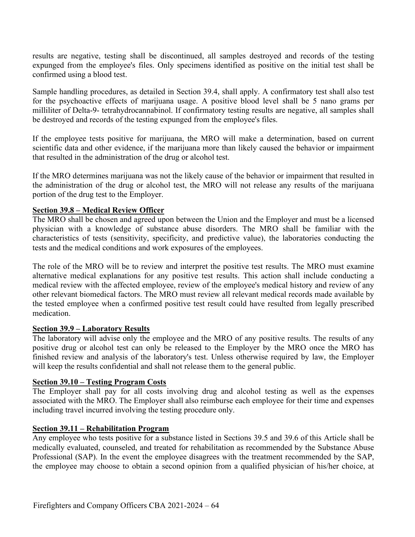results are negative, testing shall be discontinued, all samples destroyed and records of the testing expunged from the employee's files. Only specimens identified as positive on the initial test shall be confirmed using a blood test.

Sample handling procedures, as detailed in Section 39.4, shall apply. A confirmatory test shall also test for the psychoactive effects of marijuana usage. A positive blood level shall be 5 nano grams per milliliter of Delta-9- tetrahydrocannabinol. If confirmatory testing results are negative, all samples shall be destroyed and records of the testing expunged from the employee's files.

If the employee tests positive for marijuana, the MRO will make a determination, based on current scientific data and other evidence, if the marijuana more than likely caused the behavior or impairment that resulted in the administration of the drug or alcohol test.

If the MRO determines marijuana was not the likely cause of the behavior or impairment that resulted in the administration of the drug or alcohol test, the MRO will not release any results of the marijuana portion of the drug test to the Employer.

### **Section 39.8 – Medical Review Officer**

The MRO shall be chosen and agreed upon between the Union and the Employer and must be a licensed physician with a knowledge of substance abuse disorders. The MRO shall be familiar with the characteristics of tests (sensitivity, specificity, and predictive value), the laboratories conducting the tests and the medical conditions and work exposures of the employees.

The role of the MRO will be to review and interpret the positive test results. The MRO must examine alternative medical explanations for any positive test results. This action shall include conducting a medical review with the affected employee, review of the employee's medical history and review of any other relevant biomedical factors. The MRO must review all relevant medical records made available by the tested employee when a confirmed positive test result could have resulted from legally prescribed medication.

#### **Section 39.9 – Laboratory Results**

The laboratory will advise only the employee and the MRO of any positive results. The results of any positive drug or alcohol test can only be released to the Employer by the MRO once the MRO has finished review and analysis of the laboratory's test. Unless otherwise required by law, the Employer will keep the results confidential and shall not release them to the general public.

#### **Section 39.10 – Testing Program Costs**

The Employer shall pay for all costs involving drug and alcohol testing as well as the expenses associated with the MRO. The Employer shall also reimburse each employee for their time and expenses including travel incurred involving the testing procedure only.

#### **Section 39.11 – Rehabilitation Program**

Any employee who tests positive for a substance listed in Sections 39.5 and 39.6 of this Article shall be medically evaluated, counseled, and treated for rehabilitation as recommended by the Substance Abuse Professional (SAP). In the event the employee disagrees with the treatment recommended by the SAP, the employee may choose to obtain a second opinion from a qualified physician of his/her choice, at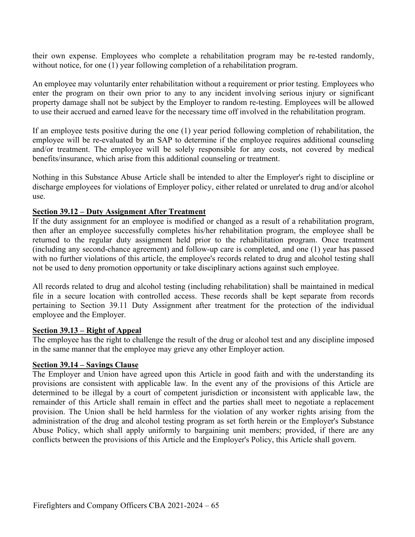their own expense. Employees who complete a rehabilitation program may be re-tested randomly, without notice, for one (1) year following completion of a rehabilitation program.

An employee may voluntarily enter rehabilitation without a requirement or prior testing. Employees who enter the program on their own prior to any to any incident involving serious injury or significant property damage shall not be subject by the Employer to random re-testing. Employees will be allowed to use their accrued and earned leave for the necessary time off involved in the rehabilitation program.

If an employee tests positive during the one (1) year period following completion of rehabilitation, the employee will be re-evaluated by an SAP to determine if the employee requires additional counseling and/or treatment. The employee will be solely responsible for any costs, not covered by medical benefits/insurance, which arise from this additional counseling or treatment.

Nothing in this Substance Abuse Article shall be intended to alter the Employer's right to discipline or discharge employees for violations of Employer policy, either related or unrelated to drug and/or alcohol use.

### **Section 39.12 – Duty Assignment After Treatment**

If the duty assignment for an employee is modified or changed as a result of a rehabilitation program, then after an employee successfully completes his/her rehabilitation program, the employee shall be returned to the regular duty assignment held prior to the rehabilitation program. Once treatment (including any second-chance agreement) and follow-up care is completed, and one (1) year has passed with no further violations of this article, the employee's records related to drug and alcohol testing shall not be used to deny promotion opportunity or take disciplinary actions against such employee.

All records related to drug and alcohol testing (including rehabilitation) shall be maintained in medical file in a secure location with controlled access. These records shall be kept separate from records pertaining to Section 39.11 Duty Assignment after treatment for the protection of the individual employee and the Employer.

#### **Section 39.13 – Right of Appeal**

The employee has the right to challenge the result of the drug or alcohol test and any discipline imposed in the same manner that the employee may grieve any other Employer action.

#### **Section 39.14 – Savings Clause**

The Employer and Union have agreed upon this Article in good faith and with the understanding its provisions are consistent with applicable law. In the event any of the provisions of this Article are determined to be illegal by a court of competent jurisdiction or inconsistent with applicable law, the remainder of this Article shall remain in effect and the parties shall meet to negotiate a replacement provision. The Union shall be held harmless for the violation of any worker rights arising from the administration of the drug and alcohol testing program as set forth herein or the Employer's Substance Abuse Policy, which shall apply uniformly to bargaining unit members; provided, if there are any conflicts between the provisions of this Article and the Employer's Policy, this Article shall govern.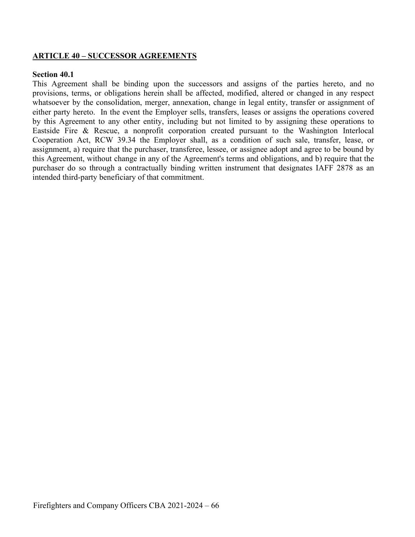### **ARTICLE 40 – SUCCESSOR AGREEMENTS**

#### **Section 40.1**

This Agreement shall be binding upon the successors and assigns of the parties hereto, and no provisions, terms, or obligations herein shall be affected, modified, altered or changed in any respect whatsoever by the consolidation, merger, annexation, change in legal entity, transfer or assignment of either party hereto. In the event the Employer sells, transfers, leases or assigns the operations covered by this Agreement to any other entity, including but not limited to by assigning these operations to Eastside Fire & Rescue, a nonprofit corporation created pursuant to the Washington Interlocal Cooperation Act, RCW 39.34 the Employer shall, as a condition of such sale, transfer, lease, or assignment, a) require that the purchaser, transferee, lessee, or assignee adopt and agree to be bound by this Agreement, without change in any of the Agreement's terms and obligations, and b) require that the purchaser do so through a contractually binding written instrument that designates IAFF 2878 as an intended third-party beneficiary of that commitment.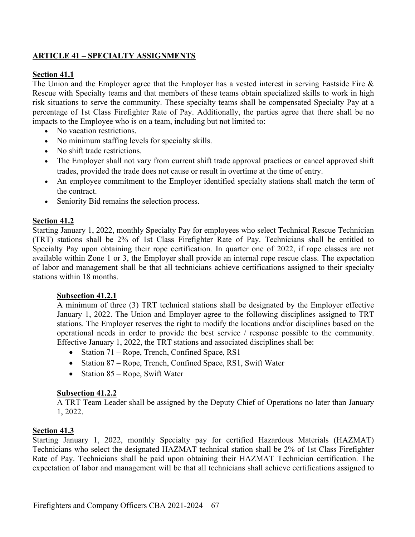# **ARTICLE 41 – SPECIALTY ASSIGNMENTS**

## **Section 41.1**

The Union and the Employer agree that the Employer has a vested interest in serving Eastside Fire  $\&$ Rescue with Specialty teams and that members of these teams obtain specialized skills to work in high risk situations to serve the community. These specialty teams shall be compensated Specialty Pay at a percentage of 1st Class Firefighter Rate of Pay. Additionally, the parties agree that there shall be no impacts to the Employee who is on a team, including but not limited to:

- No vacation restrictions.
- No minimum staffing levels for specialty skills.
- No shift trade restrictions.
- The Employer shall not vary from current shift trade approval practices or cancel approved shift trades, provided the trade does not cause or result in overtime at the time of entry.
- An employee commitment to the Employer identified specialty stations shall match the term of the contract.
- Seniority Bid remains the selection process.

## **Section 41.2**

Starting January 1, 2022, monthly Specialty Pay for employees who select Technical Rescue Technician (TRT) stations shall be 2% of 1st Class Firefighter Rate of Pay. Technicians shall be entitled to Specialty Pay upon obtaining their rope certification. In quarter one of 2022, if rope classes are not available within Zone 1 or 3, the Employer shall provide an internal rope rescue class. The expectation of labor and management shall be that all technicians achieve certifications assigned to their specialty stations within 18 months.

### **Subsection 41.2.1**

A minimum of three (3) TRT technical stations shall be designated by the Employer effective January 1, 2022. The Union and Employer agree to the following disciplines assigned to TRT stations. The Employer reserves the right to modify the locations and/or disciplines based on the operational needs in order to provide the best service / response possible to the community. Effective January 1, 2022, the TRT stations and associated disciplines shall be:

- Station 71 Rope, Trench, Confined Space, RS1
- Station 87 Rope, Trench, Confined Space, RS1, Swift Water
- Station 85 Rope, Swift Water

### **Subsection 41.2.2**

A TRT Team Leader shall be assigned by the Deputy Chief of Operations no later than January 1, 2022.

### **Section 41.3**

Starting January 1, 2022, monthly Specialty pay for certified Hazardous Materials (HAZMAT) Technicians who select the designated HAZMAT technical station shall be 2% of 1st Class Firefighter Rate of Pay. Technicians shall be paid upon obtaining their HAZMAT Technician certification. The expectation of labor and management will be that all technicians shall achieve certifications assigned to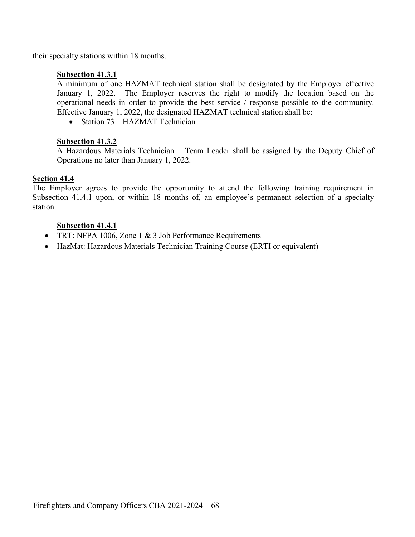their specialty stations within 18 months.

# **Subsection 41.3.1**

A minimum of one HAZMAT technical station shall be designated by the Employer effective January 1, 2022. The Employer reserves the right to modify the location based on the operational needs in order to provide the best service / response possible to the community. Effective January 1, 2022, the designated HAZMAT technical station shall be:

• Station 73 – HAZMAT Technician

# **Subsection 41.3.2**

A Hazardous Materials Technician – Team Leader shall be assigned by the Deputy Chief of Operations no later than January 1, 2022.

# **Section 41.4**

The Employer agrees to provide the opportunity to attend the following training requirement in Subsection 41.4.1 upon, or within 18 months of, an employee's permanent selection of a specialty station.

# **Subsection 41.4.1**

- TRT: NFPA 1006, Zone 1 & 3 Job Performance Requirements
- HazMat: Hazardous Materials Technician Training Course (ERTI or equivalent)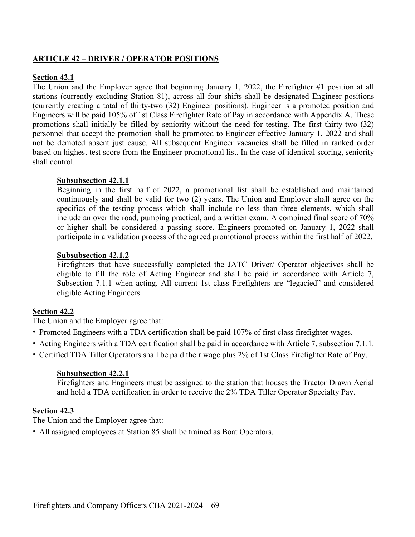## **ARTICLE 42 – DRIVER / OPERATOR POSITIONS**

### **Section 42.1**

The Union and the Employer agree that beginning January 1, 2022, the Firefighter #1 position at all stations (currently excluding Station 81), across all four shifts shall be designated Engineer positions (currently creating a total of thirty-two (32) Engineer positions). Engineer is a promoted position and Engineers will be paid 105% of 1st Class Firefighter Rate of Pay in accordance with Appendix A. These promotions shall initially be filled by seniority without the need for testing. The first thirty-two (32) personnel that accept the promotion shall be promoted to Engineer effective January 1, 2022 and shall not be demoted absent just cause. All subsequent Engineer vacancies shall be filled in ranked order based on highest test score from the Engineer promotional list. In the case of identical scoring, seniority shall control.

### **Subsubsection 42.1.1**

Beginning in the first half of 2022, a promotional list shall be established and maintained continuously and shall be valid for two (2) years. The Union and Employer shall agree on the specifics of the testing process which shall include no less than three elements, which shall include an over the road, pumping practical, and a written exam. A combined final score of 70% or higher shall be considered a passing score. Engineers promoted on January 1, 2022 shall participate in a validation process of the agreed promotional process within the first half of 2022.

### **Subsubsection 42.1.2**

Firefighters that have successfully completed the JATC Driver/ Operator objectives shall be eligible to fill the role of Acting Engineer and shall be paid in accordance with Article 7, Subsection 7.1.1 when acting. All current 1st class Firefighters are "legacied" and considered eligible Acting Engineers.

## **Section 42.2**

The Union and the Employer agree that:

- Promoted Engineers with a TDA certification shall be paid 107% of first class firefighter wages.
- Acting Engineers with a TDA certification shall be paid in accordance with Article 7, subsection 7.1.1.
- Certified TDA Tiller Operators shall be paid their wage plus 2% of 1st Class Firefighter Rate of Pay.

#### **Subsubsection 42.2.1**

Firefighters and Engineers must be assigned to the station that houses the Tractor Drawn Aerial and hold a TDA certification in order to receive the 2% TDA Tiller Operator Specialty Pay.

## **Section 42.3**

The Union and the Employer agree that:

• All assigned employees at Station 85 shall be trained as Boat Operators.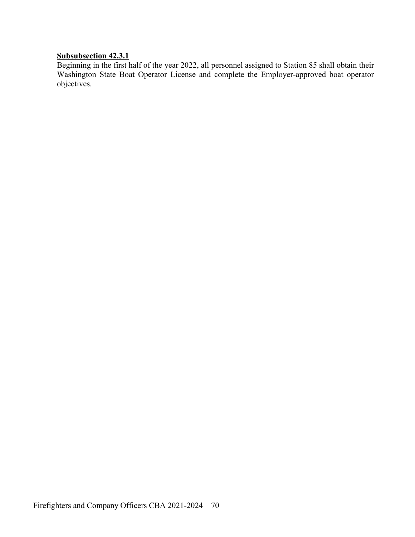# **Subsubsection 42.3.1**

Beginning in the first half of the year 2022, all personnel assigned to Station 85 shall obtain their Washington State Boat Operator License and complete the Employer-approved boat operator objectives.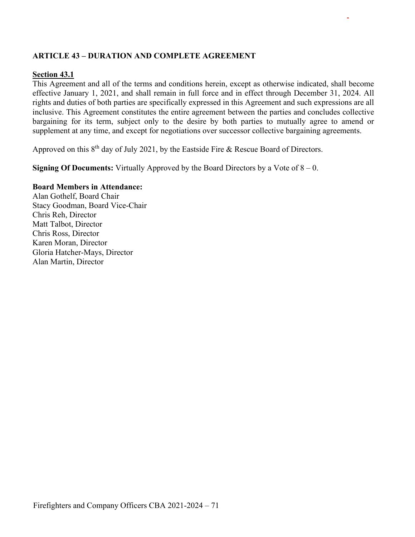# **ARTICLE 43 – DURATION AND COMPLETE AGREEMENT**

#### **Section 43.1**

This Agreement and all of the terms and conditions herein, except as otherwise indicated, shall become effective January 1, 2021, and shall remain in full force and in effect through December 31, 2024. All rights and duties of both parties are specifically expressed in this Agreement and such expressions are all inclusive. This Agreement constitutes the entire agreement between the parties and concludes collective bargaining for its term, subject only to the desire by both parties to mutually agree to amend or supplement at any time, and except for negotiations over successor collective bargaining agreements.

Approved on this 8<sup>th</sup> day of July 2021, by the Eastside Fire & Rescue Board of Directors.

**Signing Of Documents:** Virtually Approved by the Board Directors by a Vote of 8 – 0.

#### **Board Members in Attendance:**

Alan Gothelf, Board Chair Stacy Goodman, Board Vice-Chair Chris Reh, Director Matt Talbot, Director Chris Ross, Director Karen Moran, Director Gloria Hatcher-Mays, Director Alan Martin, Director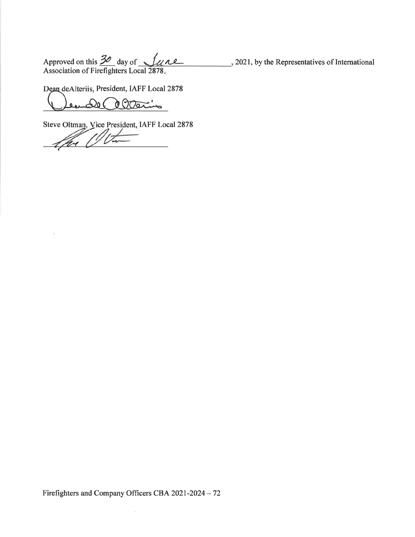Approved on this  $\frac{30}{2}$  day of  $\frac{1}{4}$  ..., 2021, by the Representatives of International Association of Firefighters Local 2878.

Dean deAlteriis, President, IAFF Local 2878

l ation  $\mathcal{L}_{0}$ 

Steve Oltman, Vice President, IAFF Local 2878

 $\bar{\tau}$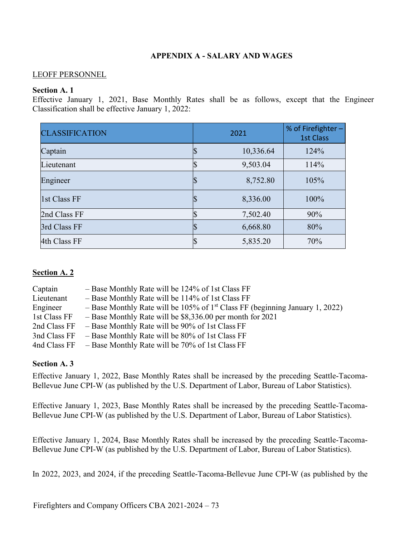### **APPENDIX A - SALARY AND WAGES**

#### LEOFF PERSONNEL

#### **Section A. 1**

Effective January 1, 2021, Base Monthly Rates shall be as follows, except that the Engineer Classification shall be effective January 1, 2022:

| <b>CLASSIFICATION</b> | 2021 | % of Firefighter $-$<br><b>1st Class</b> |  |
|-----------------------|------|------------------------------------------|--|
| Captain               |      | 124%<br>10,336.64                        |  |
| Lieutenant            | P    | 9,503.04<br>114%                         |  |
| Engineer              |      | 8,752.80<br>105%                         |  |
| 1st Class FF          |      | 100%<br>8,336.00                         |  |
| 2nd Class FF          |      | 7,502.40<br>90%                          |  |
| 3rd Class FF          |      | 80%<br>6,668.80                          |  |
| 4th Class FF          |      | 5,835.20<br>70%                          |  |

#### **Section A. 2**

| Captain      | - Base Monthly Rate will be 124% of 1st Class FF                                         |
|--------------|------------------------------------------------------------------------------------------|
| Lieutenant   | - Base Monthly Rate will be 114% of 1st Class FF                                         |
| Engineer     | - Base Monthly Rate will be 105% of 1 <sup>st</sup> Class FF (beginning January 1, 2022) |
| 1st Class FF | $-$ Base Monthly Rate will be \$8,336.00 per month for 2021                              |
| 2nd Class FF | - Base Monthly Rate will be 90% of 1st Class FF                                          |
| 3nd Class FF | - Base Monthly Rate will be 80% of 1st Class FF                                          |
| 4nd Class FF | - Base Monthly Rate will be 70% of 1st Class FF                                          |
|              |                                                                                          |

### **Section A. 3**

Effective January 1, 2022, Base Monthly Rates shall be increased by the preceding Seattle-Tacoma-Bellevue June CPI-W (as published by the U.S. Department of Labor, Bureau of Labor Statistics).

Effective January 1, 2023, Base Monthly Rates shall be increased by the preceding Seattle-Tacoma-Bellevue June CPI-W (as published by the U.S. Department of Labor, Bureau of Labor Statistics).

Effective January 1, 2024, Base Monthly Rates shall be increased by the preceding Seattle-Tacoma-Bellevue June CPI-W (as published by the U.S. Department of Labor, Bureau of Labor Statistics).

In 2022, 2023, and 2024, if the preceding Seattle-Tacoma-Bellevue June CPI-W (as published by the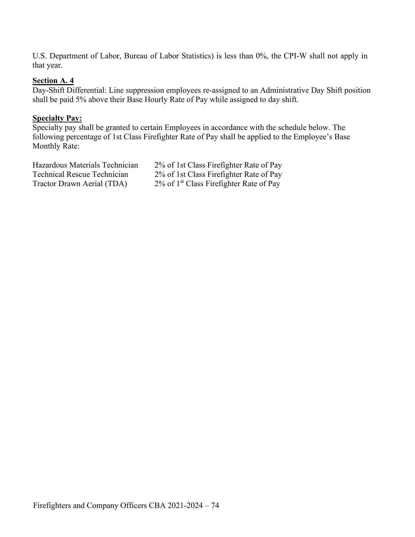U.S. Department of Labor, Bureau of Labor Statistics) is less than 0%, the CPI-W shall not apply in that year.

#### **Section A. 4**

Day-Shift Differential: Line suppression employees re-assigned to an Administrative Day Shift position shall be paid 5% above their Base Hourly Rate of Pay while assigned to day shift.

#### **Specialty Pay:**

Specialty pay shall be granted to certain Employees in accordance with the schedule below. The following percentage of 1st Class Firefighter Rate of Pay shall be applied to the Employee's Base Monthly Rate:

Hazardous Materials Technician 2% of 1st Class Firefighter Rate of Pay Technical Rescue Technician 2% of 1st Class Firefighter Rate of Pay Tractor Drawn Aerial (TDA) 2% of 1<sup>st</sup> Class Firefighter Rate of Pay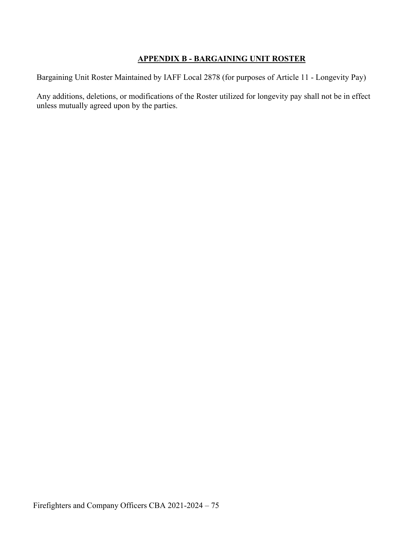# **APPENDIX B - BARGAINING UNIT ROSTER**

Bargaining Unit Roster Maintained by IAFF Local 2878 (for purposes of Article 11 - Longevity Pay)

Any additions, deletions, or modifications of the Roster utilized for longevity pay shall not be in effect unless mutually agreed upon by the parties.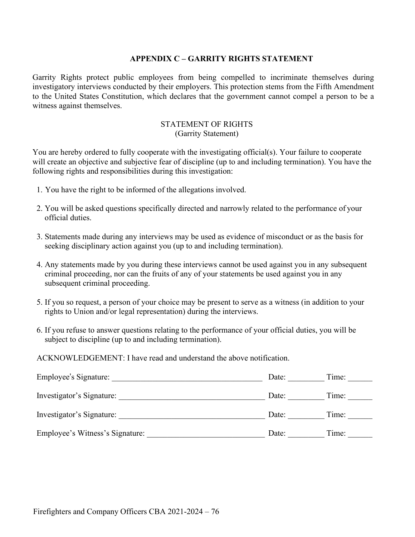#### **APPENDIX C – GARRITY RIGHTS STATEMENT**

Garrity Rights protect public employees from being compelled to incriminate themselves during investigatory interviews conducted by their employers. This protection stems from the Fifth Amendment to the United States Constitution, which declares that the government cannot compel a person to be a witness against themselves.

#### STATEMENT OF RIGHTS (Garrity Statement)

You are hereby ordered to fully cooperate with the investigating official(s). Your failure to cooperate will create an objective and subjective fear of discipline (up to and including termination). You have the following rights and responsibilities during this investigation:

- 1. You have the right to be informed of the allegations involved.
- 2. You will be asked questions specifically directed and narrowly related to the performance of your official duties.
- 3. Statements made during any interviews may be used as evidence of misconduct or as the basis for seeking disciplinary action against you (up to and including termination).
- 4. Any statements made by you during these interviews cannot be used against you in any subsequent criminal proceeding, nor can the fruits of any of your statements be used against you in any subsequent criminal proceeding.
- 5. If you so request, a person of your choice may be present to serve as a witness (in addition to your rights to Union and/or legal representation) during the interviews.
- 6. If you refuse to answer questions relating to the performance of your official duties, you will be subject to discipline (up to and including termination).

ACKNOWLEDGEMENT: I have read and understand the above notification.

| Employee's Signature:           | Date: | Time: |
|---------------------------------|-------|-------|
| Investigator's Signature:       | Date: | Time: |
| Investigator's Signature:       | Date: | Time: |
| Employee's Witness's Signature: | Date: | Time: |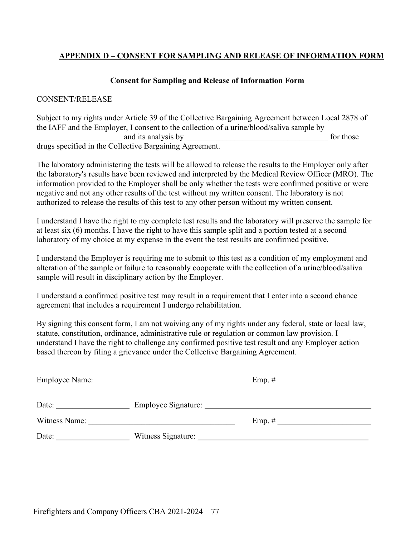# **APPENDIX D – CONSENT FOR SAMPLING AND RELEASE OF INFORMATION FORM**

#### **Consent for Sampling and Release of Information Form**

#### CONSENT/RELEASE

Subject to my rights under Article 39 of the Collective Bargaining Agreement between Local 2878 of the IAFF and the Employer, I consent to the collection of a urine/blood/saliva sample by and its analysis by  $\Box$  for those drugs specified in the Collective Bargaining Agreement.

The laboratory administering the tests will be allowed to release the results to the Employer only after the laboratory's results have been reviewed and interpreted by the Medical Review Officer (MRO). The information provided to the Employer shall be only whether the tests were confirmed positive or were negative and not any other results of the test without my written consent. The laboratory is not authorized to release the results of this test to any other person without my written consent.

I understand I have the right to my complete test results and the laboratory will preserve the sample for at least six (6) months. I have the right to have this sample split and a portion tested at a second laboratory of my choice at my expense in the event the test results are confirmed positive.

I understand the Employer is requiring me to submit to this test as a condition of my employment and alteration of the sample or failure to reasonably cooperate with the collection of a urine/blood/saliva sample will result in disciplinary action by the Employer.

I understand a confirmed positive test may result in a requirement that I enter into a second chance agreement that includes a requirement I undergo rehabilitation.

By signing this consent form, I am not waiving any of my rights under any federal, state or local law, statute, constitution, ordinance, administrative rule or regulation or common law provision. I understand I have the right to challenge any confirmed positive test result and any Employer action based thereon by filing a grievance under the Collective Bargaining Agreement.

| <b>Employee Name:</b> |                     | Emp. $#$ |  |
|-----------------------|---------------------|----------|--|
|                       |                     |          |  |
| Date:                 | Employee Signature: |          |  |
| Witness Name:         |                     | Emp. $#$ |  |
| Date:                 | Witness Signature:  |          |  |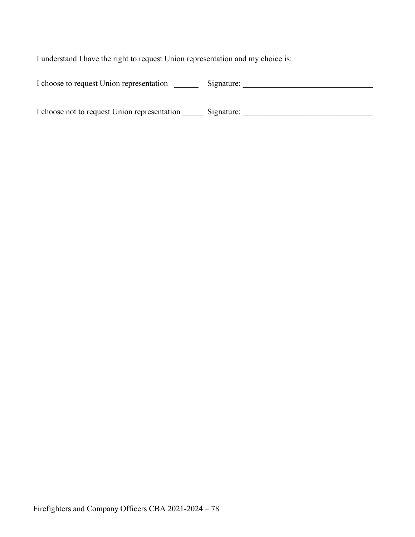I understand I have the right to request Union representation and my choice is:

| I choose to request Union representation | Signature: |  |
|------------------------------------------|------------|--|
|                                          |            |  |

| I choose not to request Union representation | Signature: |  |
|----------------------------------------------|------------|--|
|                                              |            |  |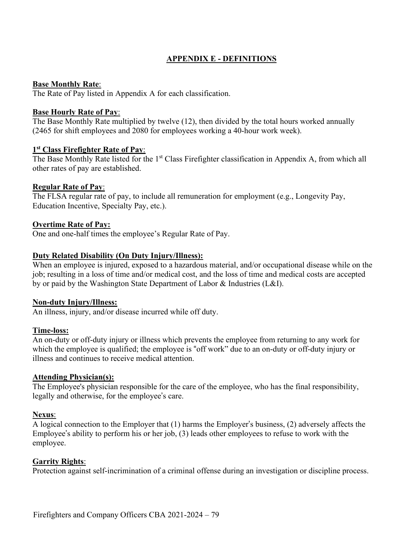# **APPENDIX E - DEFINITIONS**

### **Base Monthly Rate**:

The Rate of Pay listed in Appendix A for each classification.

#### **Base Hourly Rate of Pay**:

The Base Monthly Rate multiplied by twelve (12), then divided by the total hours worked annually (2465 for shift employees and 2080 for employees working a 40-hour work week).

### **1st Class Firefighter Rate of Pay**:

The Base Monthly Rate listed for the 1<sup>st</sup> Class Firefighter classification in Appendix A, from which all other rates of pay are established.

### **Regular Rate of Pay**:

The FLSA regular rate of pay, to include all remuneration for employment (e.g., Longevity Pay, Education Incentive, Specialty Pay, etc.).

### **Overtime Rate of Pay:**

One and one-half times the employee's Regular Rate of Pay.

## **Duty Related Disability (On Duty Injury/Illness):**

When an employee is injured, exposed to a hazardous material, and/or occupational disease while on the job; resulting in a loss of time and/or medical cost, and the loss of time and medical costs are accepted by or paid by the Washington State Department of Labor & Industries (L&I).

#### **Non-duty Injury/Illness:**

An illness, injury, and/or disease incurred while off duty.

#### **Time-loss:**

An on-duty or off-duty injury or illness which prevents the employee from returning to any work for which the employee is qualified; the employee is "off work" due to an on-duty or off-duty injury or illness and continues to receive medical attention.

#### **Attending Physician(s):**

The Employee's physician responsible for the care of the employee, who has the final responsibility, legally and otherwise, for the employee's care.

#### **Nexus**:

A logical connection to the Employer that (1) harms the Employer's business, (2) adversely affects the Employee's ability to perform his or her job, (3) leads other employees to refuse to work with the employee.

## **Garrity Rights**:

Protection against self-incrimination of a criminal offense during an investigation or discipline process.